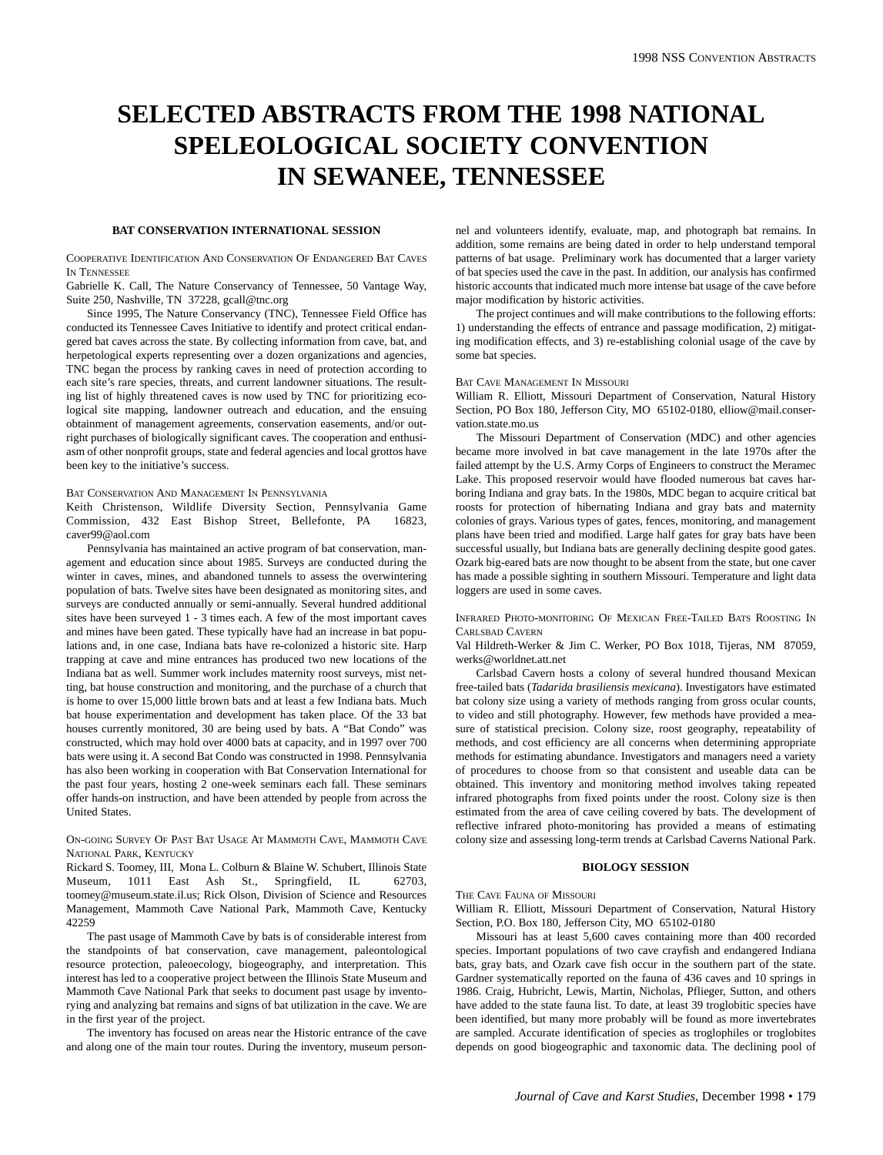# **SELECTED ABSTRACTS FROM THE 1998 NATIONAL SPELEOLOGICAL SOCIETY CONVENTION IN SEWANEE, TENNESSEE**

#### **BAT CONSERVATION INTERNATIONAL SESSION**

COOPERATIVE IDENTIFICATION AND CONSERVATION OF ENDANGERED BAT CAVES IN TENNESSEE

Gabrielle K. Call, The Nature Conservancy of Tennessee, 50 Vantage Way, Suite 250, Nashville, TN 37228, gcall@tnc.org

Since 1995, The Nature Conservancy (TNC), Tennessee Field Office has conducted its Tennessee Caves Initiative to identify and protect critical endangered bat caves across the state. By collecting information from cave, bat, and herpetological experts representing over a dozen organizations and agencies, TNC began the process by ranking caves in need of protection according to each site's rare species, threats, and current landowner situations. The resulting list of highly threatened caves is now used by TNC for prioritizing ecological site mapping, landowner outreach and education, and the ensuing obtainment of management agreements, conservation easements, and/or outright purchases of biologically significant caves. The cooperation and enthusiasm of other nonprofit groups, state and federal agencies and local grottos have been key to the initiative's success.

## BAT CONSERVATION AND MANAGEMENT IN PENNSYLVANIA

Keith Christenson, Wildlife Diversity Section, Pennsylvania Game Commission, 432 East Bishop Street, Bellefonte, PA 16823, caver99@aol.com

Pennsylvania has maintained an active program of bat conservation, management and education since about 1985. Surveys are conducted during the winter in caves, mines, and abandoned tunnels to assess the overwintering population of bats. Twelve sites have been designated as monitoring sites, and surveys are conducted annually or semi-annually. Several hundred additional sites have been surveyed 1 - 3 times each. A few of the most important caves and mines have been gated. These typically have had an increase in bat populations and, in one case, Indiana bats have re-colonized a historic site. Harp trapping at cave and mine entrances has produced two new locations of the Indiana bat as well. Summer work includes maternity roost surveys, mist netting, bat house construction and monitoring, and the purchase of a church that is home to over 15,000 little brown bats and at least a few Indiana bats. Much bat house experimentation and development has taken place. Of the 33 bat houses currently monitored, 30 are being used by bats. A "Bat Condo" was constructed, which may hold over 4000 bats at capacity, and in 1997 over 700 bats were using it. A second Bat Condo was constructed in 1998. Pennsylvania has also been working in cooperation with Bat Conservation International for the past four years, hosting 2 one-week seminars each fall. These seminars offer hands-on instruction, and have been attended by people from across the United States.

## ON-GOING SURVEY OF PAST BAT USAGE AT MAMMOTH CAVE, MAMMOTH CAVE NATIONAL PARK, KENTUCKY

Rickard S. Toomey, III, Mona L. Colburn & Blaine W. Schubert, Illinois State Museum, 1011 East Ash St., Springfield, IL 62703, toomey@museum.state.il.us; Rick Olson, Division of Science and Resources Management, Mammoth Cave National Park, Mammoth Cave, Kentucky 42259

The past usage of Mammoth Cave by bats is of considerable interest from the standpoints of bat conservation, cave management, paleontological resource protection, paleoecology, biogeography, and interpretation. This interest has led to a cooperative project between the Illinois State Museum and Mammoth Cave National Park that seeks to document past usage by inventorying and analyzing bat remains and signs of bat utilization in the cave. We are in the first year of the project.

The inventory has focused on areas near the Historic entrance of the cave and along one of the main tour routes. During the inventory, museum personnel and volunteers identify, evaluate, map, and photograph bat remains. In addition, some remains are being dated in order to help understand temporal patterns of bat usage. Preliminary work has documented that a larger variety of bat species used the cave in the past. In addition, our analysis has confirmed historic accounts that indicated much more intense bat usage of the cave before major modification by historic activities.

The project continues and will make contributions to the following efforts: 1) understanding the effects of entrance and passage modification, 2) mitigating modification effects, and 3) re-establishing colonial usage of the cave by some bat species.

# BAT CAVE MANAGEMENT IN MISSOURI

William R. Elliott, Missouri Department of Conservation, Natural History Section, PO Box 180, Jefferson City, MO 65102-0180, elliow@mail.conservation.state.mo.us

The Missouri Department of Conservation (MDC) and other agencies became more involved in bat cave management in the late 1970s after the failed attempt by the U.S. Army Corps of Engineers to construct the Meramec Lake. This proposed reservoir would have flooded numerous bat caves harboring Indiana and gray bats. In the 1980s, MDC began to acquire critical bat roosts for protection of hibernating Indiana and gray bats and maternity colonies of grays. Various types of gates, fences, monitoring, and management plans have been tried and modified. Large half gates for gray bats have been successful usually, but Indiana bats are generally declining despite good gates. Ozark big-eared bats are now thought to be absent from the state, but one caver has made a possible sighting in southern Missouri. Temperature and light data loggers are used in some caves.

INFRARED PHOTO-MONITORING OF MEXICAN FREE-TAILED BATS ROOSTING IN CARLSBAD CAVERN

Val Hildreth-Werker & Jim C. Werker, PO Box 1018, Tijeras, NM 87059, werks@worldnet.att.net

Carlsbad Cavern hosts a colony of several hundred thousand Mexican free-tailed bats (*Tadarida brasiliensis mexicana*). Investigators have estimated bat colony size using a variety of methods ranging from gross ocular counts, to video and still photography. However, few methods have provided a measure of statistical precision. Colony size, roost geography, repeatability of methods, and cost efficiency are all concerns when determining appropriate methods for estimating abundance. Investigators and managers need a variety of procedures to choose from so that consistent and useable data can be obtained. This inventory and monitoring method involves taking repeated infrared photographs from fixed points under the roost. Colony size is then estimated from the area of cave ceiling covered by bats. The development of reflective infrared photo-monitoring has provided a means of estimating colony size and assessing long-term trends at Carlsbad Caverns National Park.

# **BIOLOGY SESSION**

#### THE CAVE FAUNA OF MISSOURI

William R. Elliott, Missouri Department of Conservation, Natural History Section, P.O. Box 180, Jefferson City, MO 65102-0180

Missouri has at least 5,600 caves containing more than 400 recorded species. Important populations of two cave crayfish and endangered Indiana bats, gray bats, and Ozark cave fish occur in the southern part of the state. Gardner systematically reported on the fauna of 436 caves and 10 springs in 1986. Craig, Hubricht, Lewis, Martin, Nicholas, Pflieger, Sutton, and others have added to the state fauna list. To date, at least 39 troglobitic species have been identified, but many more probably will be found as more invertebrates are sampled. Accurate identification of species as troglophiles or troglobites depends on good biogeographic and taxonomic data. The declining pool of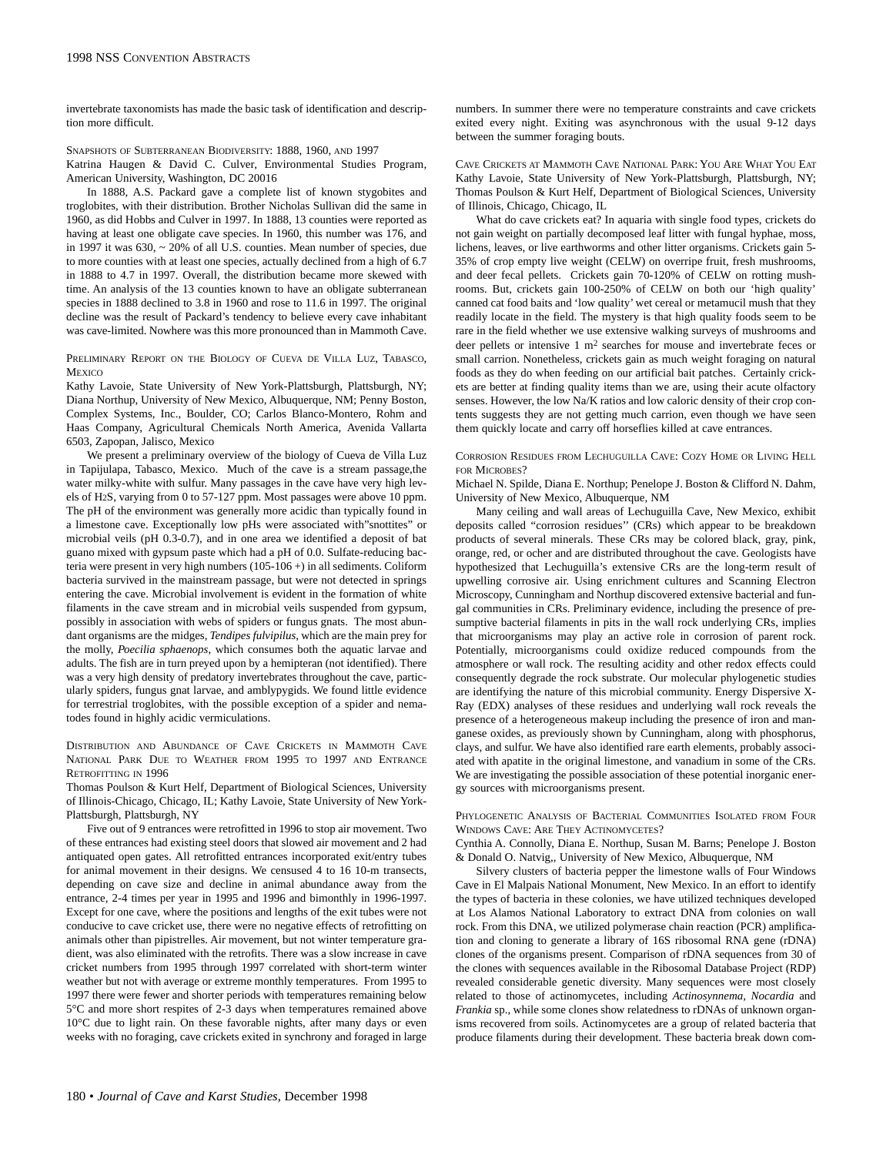invertebrate taxonomists has made the basic task of identification and description more difficult.

SNAPSHOTS OF SUBTERRANEAN BIODIVERSITY: 1888, 1960, AND 1997

Katrina Haugen & David C. Culver, Environmental Studies Program, American University, Washington, DC 20016

In 1888, A.S. Packard gave a complete list of known stygobites and troglobites, with their distribution. Brother Nicholas Sullivan did the same in 1960, as did Hobbs and Culver in 1997. In 1888, 13 counties were reported as having at least one obligate cave species. In 1960, this number was 176, and in 1997 it was 630, ~ 20% of all U.S. counties. Mean number of species, due to more counties with at least one species, actually declined from a high of 6.7 in 1888 to 4.7 in 1997. Overall, the distribution became more skewed with time. An analysis of the 13 counties known to have an obligate subterranean species in 1888 declined to 3.8 in 1960 and rose to 11.6 in 1997. The original decline was the result of Packard's tendency to believe every cave inhabitant was cave-limited. Nowhere was this more pronounced than in Mammoth Cave.

PRELIMINARY REPORT ON THE BIOLOGY OF CUEVA DE VILLA LUZ, TABASCO, **MEXICO** 

Kathy Lavoie, State University of New York-Plattsburgh, Plattsburgh, NY; Diana Northup, University of New Mexico, Albuquerque, NM; Penny Boston, Complex Systems, Inc., Boulder, CO; Carlos Blanco-Montero, Rohm and Haas Company, Agricultural Chemicals North America, Avenida Vallarta 6503, Zapopan, Jalisco, Mexico

We present a preliminary overview of the biology of Cueva de Villa Luz in Tapijulapa, Tabasco, Mexico. Much of the cave is a stream passage,the water milky-white with sulfur. Many passages in the cave have very high levels of H2S, varying from 0 to 57-127 ppm. Most passages were above 10 ppm. The pH of the environment was generally more acidic than typically found in a limestone cave. Exceptionally low pHs were associated with"snottites" or microbial veils (pH 0.3-0.7), and in one area we identified a deposit of bat guano mixed with gypsum paste which had a pH of 0.0. Sulfate-reducing bacteria were present in very high numbers (105-106 +) in all sediments. Coliform bacteria survived in the mainstream passage, but were not detected in springs entering the cave. Microbial involvement is evident in the formation of white filaments in the cave stream and in microbial veils suspended from gypsum, possibly in association with webs of spiders or fungus gnats. The most abundant organisms are the midges, *Tendipes fulvipilus*, which are the main prey for the molly, *Poecilia sphaenops*, which consumes both the aquatic larvae and adults. The fish are in turn preyed upon by a hemipteran (not identified). There was a very high density of predatory invertebrates throughout the cave, particularly spiders, fungus gnat larvae, and amblypygids. We found little evidence for terrestrial troglobites, with the possible exception of a spider and nematodes found in highly acidic vermiculations.

DISTRIBUTION AND ABUNDANCE OF CAVE CRICKETS IN MAMMOTH CAVE NATIONAL PARK DUE TO WEATHER FROM 1995 TO 1997 AND ENTRANCE RETROFITTING IN 1996

Thomas Poulson & Kurt Helf, Department of Biological Sciences, University of Illinois-Chicago, Chicago, IL; Kathy Lavoie, State University of New York-Plattsburgh, Plattsburgh, NY

Five out of 9 entrances were retrofitted in 1996 to stop air movement. Two of these entrances had existing steel doors that slowed air movement and 2 had antiquated open gates. All retrofitted entrances incorporated exit/entry tubes for animal movement in their designs. We censused 4 to 16 10-m transects, depending on cave size and decline in animal abundance away from the entrance, 2-4 times per year in 1995 and 1996 and bimonthly in 1996-1997. Except for one cave, where the positions and lengths of the exit tubes were not conducive to cave cricket use, there were no negative effects of retrofitting on animals other than pipistrelles. Air movement, but not winter temperature gradient, was also eliminated with the retrofits. There was a slow increase in cave cricket numbers from 1995 through 1997 correlated with short-term winter weather but not with average or extreme monthly temperatures. From 1995 to 1997 there were fewer and shorter periods with temperatures remaining below 5°C and more short respites of 2-3 days when temperatures remained above 10°C due to light rain. On these favorable nights, after many days or even weeks with no foraging, cave crickets exited in synchrony and foraged in large numbers. In summer there were no temperature constraints and cave crickets exited every night. Exiting was asynchronous with the usual 9-12 days between the summer foraging bouts.

CAVE CRICKETS AT MAMMOTH CAVE NATIONAL PARK: YOU ARE WHAT YOU EAT Kathy Lavoie, State University of New York-Plattsburgh, Plattsburgh, NY; Thomas Poulson & Kurt Helf, Department of Biological Sciences, University of Illinois, Chicago, Chicago, IL

What do cave crickets eat? In aquaria with single food types, crickets do not gain weight on partially decomposed leaf litter with fungal hyphae, moss, lichens, leaves, or live earthworms and other litter organisms. Crickets gain 5- 35% of crop empty live weight (CELW) on overripe fruit, fresh mushrooms, and deer fecal pellets. Crickets gain 70-120% of CELW on rotting mushrooms. But, crickets gain 100-250% of CELW on both our 'high quality' canned cat food baits and 'low quality' wet cereal or metamucil mush that they readily locate in the field. The mystery is that high quality foods seem to be rare in the field whether we use extensive walking surveys of mushrooms and deer pellets or intensive 1 m2 searches for mouse and invertebrate feces or small carrion. Nonetheless, crickets gain as much weight foraging on natural foods as they do when feeding on our artificial bait patches. Certainly crickets are better at finding quality items than we are, using their acute olfactory senses. However, the low Na/K ratios and low caloric density of their crop contents suggests they are not getting much carrion, even though we have seen them quickly locate and carry off horseflies killed at cave entrances.

CORROSION RESIDUES FROM LECHUGUILLA CAVE: COZY HOME OR LIVING HELL FOR MICROBES?

Michael N. Spilde, Diana E. Northup; Penelope J. Boston & Clifford N. Dahm, University of New Mexico, Albuquerque, NM

Many ceiling and wall areas of Lechuguilla Cave, New Mexico, exhibit deposits called "corrosion residues'' (CRs) which appear to be breakdown products of several minerals. These CRs may be colored black, gray, pink, orange, red, or ocher and are distributed throughout the cave. Geologists have hypothesized that Lechuguilla's extensive CRs are the long-term result of upwelling corrosive air. Using enrichment cultures and Scanning Electron Microscopy, Cunningham and Northup discovered extensive bacterial and fungal communities in CRs. Preliminary evidence, including the presence of presumptive bacterial filaments in pits in the wall rock underlying CRs, implies that microorganisms may play an active role in corrosion of parent rock. Potentially, microorganisms could oxidize reduced compounds from the atmosphere or wall rock. The resulting acidity and other redox effects could consequently degrade the rock substrate. Our molecular phylogenetic studies are identifying the nature of this microbial community. Energy Dispersive X-Ray (EDX) analyses of these residues and underlying wall rock reveals the presence of a heterogeneous makeup including the presence of iron and manganese oxides, as previously shown by Cunningham, along with phosphorus, clays, and sulfur. We have also identified rare earth elements, probably associated with apatite in the original limestone, and vanadium in some of the CRs. We are investigating the possible association of these potential inorganic energy sources with microorganisms present.

PHYLOGENETIC ANALYSIS OF BACTERIAL COMMUNITIES ISOLATED FROM FOUR WINDOWS CAVE: ARE THEY ACTINOMYCETES?

Cynthia A. Connolly, Diana E. Northup, Susan M. Barns; Penelope J. Boston & Donald O. Natvig,, University of New Mexico, Albuquerque, NM

Silvery clusters of bacteria pepper the limestone walls of Four Windows Cave in El Malpais National Monument, New Mexico. In an effort to identify the types of bacteria in these colonies, we have utilized techniques developed at Los Alamos National Laboratory to extract DNA from colonies on wall rock. From this DNA, we utilized polymerase chain reaction (PCR) amplification and cloning to generate a library of 16S ribosomal RNA gene (rDNA) clones of the organisms present. Comparison of rDNA sequences from 30 of the clones with sequences available in the Ribosomal Database Project (RDP) revealed considerable genetic diversity. Many sequences were most closely related to those of actinomycetes, including *Actinosynnema, Nocardia* and *Frankia* sp., while some clones show relatedness to rDNAs of unknown organisms recovered from soils. Actinomycetes are a group of related bacteria that produce filaments during their development. These bacteria break down com-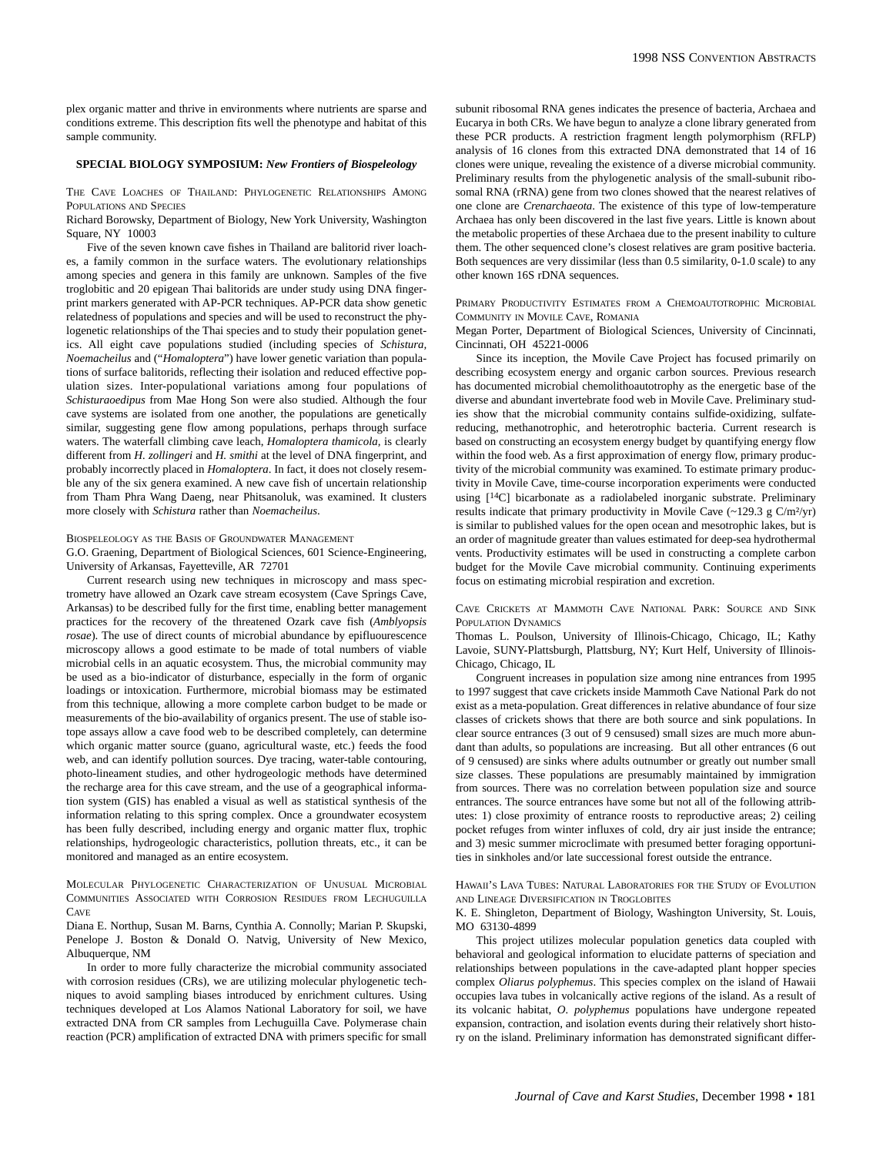## **SPECIAL BIOLOGY SYMPOSIUM:** *New Frontiers of Biospeleology*

THE CAVE LOACHES OF THAILAND: PHYLOGENETIC RELATIONSHIPS AMONG POPULATIONS AND SPECIES

Richard Borowsky, Department of Biology, New York University, Washington Square, NY 10003

Five of the seven known cave fishes in Thailand are balitorid river loaches, a family common in the surface waters. The evolutionary relationships among species and genera in this family are unknown. Samples of the five troglobitic and 20 epigean Thai balitorids are under study using DNA fingerprint markers generated with AP-PCR techniques. AP-PCR data show genetic relatedness of populations and species and will be used to reconstruct the phylogenetic relationships of the Thai species and to study their population genetics. All eight cave populations studied (including species of *Schistura, Noemacheilus* and ("*Homaloptera*") have lower genetic variation than populations of surface balitorids, reflecting their isolation and reduced effective population sizes. Inter-populational variations among four populations of *Schisturaoedipus* from Mae Hong Son were also studied. Although the four cave systems are isolated from one another, the populations are genetically similar, suggesting gene flow among populations, perhaps through surface waters. The waterfall climbing cave leach, *Homaloptera thamicola,* is clearly different from *H. zollingeri* and *H. smithi* at the level of DNA fingerprint, and probably incorrectly placed in *Homaloptera*. In fact, it does not closely resemble any of the six genera examined. A new cave fish of uncertain relationship from Tham Phra Wang Daeng, near Phitsanoluk, was examined. It clusters more closely with *Schistura* rather than *Noemacheilus*.

#### BIOSPELEOLOGY AS THE BASIS OF GROUNDWATER MANAGEMENT

G.O. Graening, Department of Biological Sciences, 601 Science-Engineering, University of Arkansas, Fayetteville, AR 72701

Current research using new techniques in microscopy and mass spectrometry have allowed an Ozark cave stream ecosystem (Cave Springs Cave, Arkansas) to be described fully for the first time, enabling better management practices for the recovery of the threatened Ozark cave fish (*Amblyopsis rosae*). The use of direct counts of microbial abundance by epifluourescence microscopy allows a good estimate to be made of total numbers of viable microbial cells in an aquatic ecosystem. Thus, the microbial community may be used as a bio-indicator of disturbance, especially in the form of organic loadings or intoxication. Furthermore, microbial biomass may be estimated from this technique, allowing a more complete carbon budget to be made or measurements of the bio-availability of organics present. The use of stable isotope assays allow a cave food web to be described completely, can determine which organic matter source (guano, agricultural waste, etc.) feeds the food web, and can identify pollution sources. Dye tracing, water-table contouring, photo-lineament studies, and other hydrogeologic methods have determined the recharge area for this cave stream, and the use of a geographical information system (GIS) has enabled a visual as well as statistical synthesis of the information relating to this spring complex. Once a groundwater ecosystem has been fully described, including energy and organic matter flux, trophic relationships, hydrogeologic characteristics, pollution threats, etc., it can be monitored and managed as an entire ecosystem.

MOLECULAR PHYLOGENETIC CHARACTERIZATION OF UNUSUAL MICROBIAL COMMUNITIES ASSOCIATED WITH CORROSION RESIDUES FROM LECHUGUILLA CAVE

Diana E. Northup, Susan M. Barns, Cynthia A. Connolly; Marian P. Skupski, Penelope J. Boston & Donald O. Natvig, University of New Mexico, Albuquerque, NM

In order to more fully characterize the microbial community associated with corrosion residues (CRs), we are utilizing molecular phylogenetic techniques to avoid sampling biases introduced by enrichment cultures. Using techniques developed at Los Alamos National Laboratory for soil, we have extracted DNA from CR samples from Lechuguilla Cave. Polymerase chain reaction (PCR) amplification of extracted DNA with primers specific for small subunit ribosomal RNA genes indicates the presence of bacteria, Archaea and Eucarya in both CRs. We have begun to analyze a clone library generated from these PCR products. A restriction fragment length polymorphism (RFLP) analysis of 16 clones from this extracted DNA demonstrated that 14 of 16 clones were unique, revealing the existence of a diverse microbial community. Preliminary results from the phylogenetic analysis of the small-subunit ribosomal RNA (rRNA) gene from two clones showed that the nearest relatives of one clone are *Crenarchaeota*. The existence of this type of low-temperature Archaea has only been discovered in the last five years. Little is known about the metabolic properties of these Archaea due to the present inability to culture them. The other sequenced clone's closest relatives are gram positive bacteria. Both sequences are very dissimilar (less than 0.5 similarity, 0-1.0 scale) to any other known 16S rDNA sequences.

PRIMARY PRODUCTIVITY ESTIMATES FROM A CHEMOAUTOTROPHIC MICROBIAL COMMUNITY IN MOVILE CAVE, ROMANIA

Megan Porter, Department of Biological Sciences, University of Cincinnati, Cincinnati, OH 45221-0006

Since its inception, the Movile Cave Project has focused primarily on describing ecosystem energy and organic carbon sources. Previous research has documented microbial chemolithoautotrophy as the energetic base of the diverse and abundant invertebrate food web in Movile Cave. Preliminary studies show that the microbial community contains sulfide-oxidizing, sulfatereducing, methanotrophic, and heterotrophic bacteria. Current research is based on constructing an ecosystem energy budget by quantifying energy flow within the food web. As a first approximation of energy flow, primary productivity of the microbial community was examined. To estimate primary productivity in Movile Cave, time-course incorporation experiments were conducted using [14C] bicarbonate as a radiolabeled inorganic substrate. Preliminary results indicate that primary productivity in Movile Cave  $(-129.3 \text{ g C/m²/yr})$ is similar to published values for the open ocean and mesotrophic lakes, but is an order of magnitude greater than values estimated for deep-sea hydrothermal vents. Productivity estimates will be used in constructing a complete carbon budget for the Movile Cave microbial community. Continuing experiments focus on estimating microbial respiration and excretion.

CAVE CRICKETS AT MAMMOTH CAVE NATIONAL PARK: SOURCE AND SINK POPULATION DYNAMICS

Thomas L. Poulson, University of Illinois-Chicago, Chicago, IL; Kathy Lavoie, SUNY-Plattsburgh, Plattsburg, NY; Kurt Helf, University of Illinois-Chicago, Chicago, IL

Congruent increases in population size among nine entrances from 1995 to 1997 suggest that cave crickets inside Mammoth Cave National Park do not exist as a meta-population. Great differences in relative abundance of four size classes of crickets shows that there are both source and sink populations. In clear source entrances (3 out of 9 censused) small sizes are much more abundant than adults, so populations are increasing. But all other entrances (6 out of 9 censused) are sinks where adults outnumber or greatly out number small size classes. These populations are presumably maintained by immigration from sources. There was no correlation between population size and source entrances. The source entrances have some but not all of the following attributes: 1) close proximity of entrance roosts to reproductive areas; 2) ceiling pocket refuges from winter influxes of cold, dry air just inside the entrance; and 3) mesic summer microclimate with presumed better foraging opportunities in sinkholes and/or late successional forest outside the entrance.

HAWAII'S LAVA TUBES: NATURAL LABORATORIES FOR THE STUDY OF EVOLUTION AND LINEAGE DIVERSIFICATION IN TROGLOBITES

K. E. Shingleton, Department of Biology, Washington University, St. Louis, MO 63130-4899

This project utilizes molecular population genetics data coupled with behavioral and geological information to elucidate patterns of speciation and relationships between populations in the cave-adapted plant hopper species complex *Oliarus polyphemus*. This species complex on the island of Hawaii occupies lava tubes in volcanically active regions of the island. As a result of its volcanic habitat, *O. polyphemus* populations have undergone repeated expansion, contraction, and isolation events during their relatively short history on the island. Preliminary information has demonstrated significant differ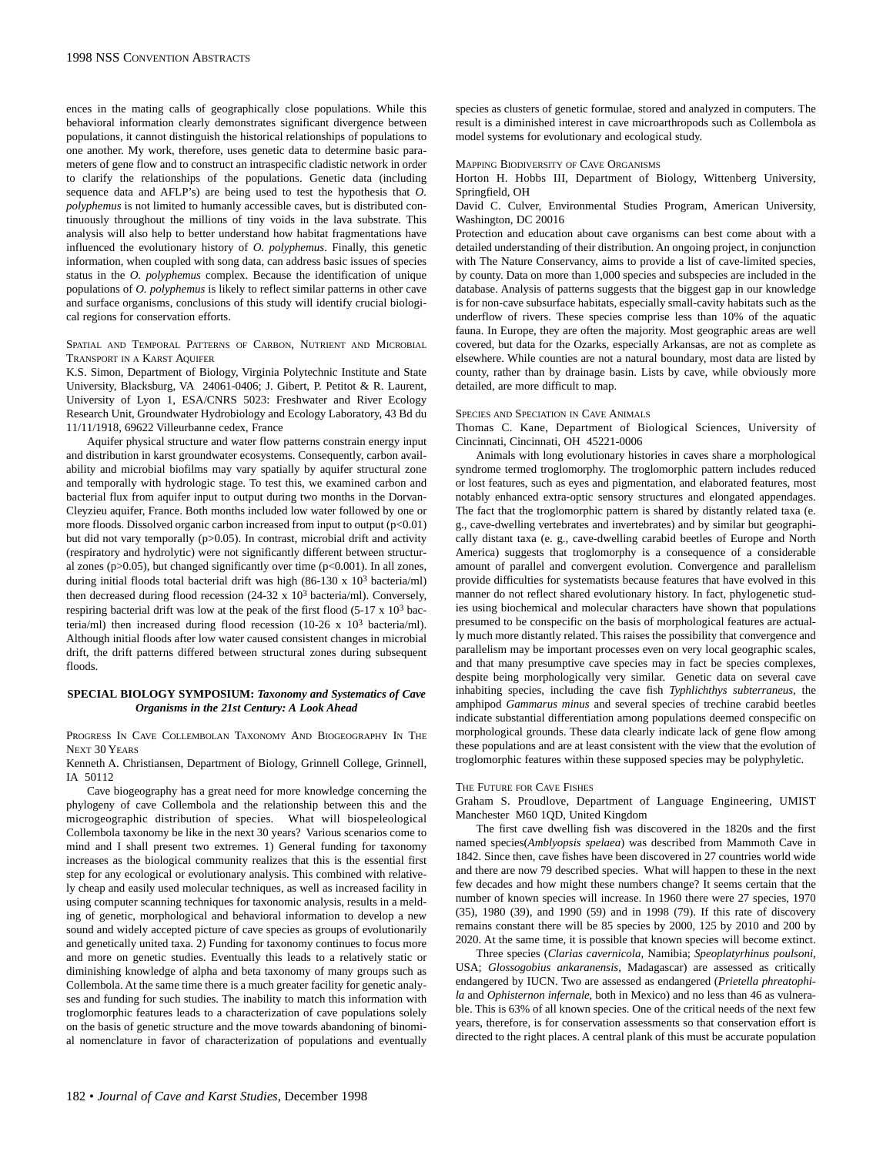ences in the mating calls of geographically close populations. While this behavioral information clearly demonstrates significant divergence between populations, it cannot distinguish the historical relationships of populations to one another. My work, therefore, uses genetic data to determine basic parameters of gene flow and to construct an intraspecific cladistic network in order to clarify the relationships of the populations. Genetic data (including sequence data and AFLP's) are being used to test the hypothesis that *O. polyphemus* is not limited to humanly accessible caves, but is distributed continuously throughout the millions of tiny voids in the lava substrate. This analysis will also help to better understand how habitat fragmentations have influenced the evolutionary history of *O. polyphemus*. Finally, this genetic information, when coupled with song data, can address basic issues of species status in the *O. polyphemus* complex. Because the identification of unique populations of *O. polyphemus* is likely to reflect similar patterns in other cave and surface organisms, conclusions of this study will identify crucial biological regions for conservation efforts.

SPATIAL AND TEMPORAL PATTERNS OF CARBON, NUTRIENT AND MICROBIAL TRANSPORT IN A KARST AQUIFER

K.S. Simon, Department of Biology, Virginia Polytechnic Institute and State University, Blacksburg, VA 24061-0406; J. Gibert, P. Petitot & R. Laurent, University of Lyon 1, ESA/CNRS 5023: Freshwater and River Ecology Research Unit, Groundwater Hydrobiology and Ecology Laboratory, 43 Bd du 11/11/1918, 69622 Villeurbanne cedex, France

Aquifer physical structure and water flow patterns constrain energy input and distribution in karst groundwater ecosystems. Consequently, carbon availability and microbial biofilms may vary spatially by aquifer structural zone and temporally with hydrologic stage. To test this, we examined carbon and bacterial flux from aquifer input to output during two months in the Dorvan-Cleyzieu aquifer, France. Both months included low water followed by one or more floods. Dissolved organic carbon increased from input to output (p<0.01) but did not vary temporally (p>0.05). In contrast, microbial drift and activity (respiratory and hydrolytic) were not significantly different between structural zones ( $p > 0.05$ ), but changed significantly over time ( $p < 0.001$ ). In all zones, during initial floods total bacterial drift was high (86-130 x 103 bacteria/ml) then decreased during flood recession  $(24-32 \times 10^3 \text{ bacteria/ml})$ . Conversely, respiring bacterial drift was low at the peak of the first flood (5-17 x 103 bacteria/ml) then increased during flood recession (10-26 x 103 bacteria/ml). Although initial floods after low water caused consistent changes in microbial drift, the drift patterns differed between structural zones during subsequent floods.

## **SPECIAL BIOLOGY SYMPOSIUM:** *Taxonomy and Systematics of Cave Organisms in the 21st Century: A Look Ahead*

PROGRESS IN CAVE COLLEMBOLAN TAXONOMY AND BIOGEOGRAPHY IN THE NEXT 30 YEARS

Kenneth A. Christiansen, Department of Biology, Grinnell College, Grinnell, IA 50112

Cave biogeography has a great need for more knowledge concerning the phylogeny of cave Collembola and the relationship between this and the microgeographic distribution of species. What will biospeleological Collembola taxonomy be like in the next 30 years? Various scenarios come to mind and I shall present two extremes. 1) General funding for taxonomy increases as the biological community realizes that this is the essential first step for any ecological or evolutionary analysis. This combined with relatively cheap and easily used molecular techniques, as well as increased facility in using computer scanning techniques for taxonomic analysis, results in a melding of genetic, morphological and behavioral information to develop a new sound and widely accepted picture of cave species as groups of evolutionarily and genetically united taxa. 2) Funding for taxonomy continues to focus more and more on genetic studies. Eventually this leads to a relatively static or diminishing knowledge of alpha and beta taxonomy of many groups such as Collembola. At the same time there is a much greater facility for genetic analyses and funding for such studies. The inability to match this information with troglomorphic features leads to a characterization of cave populations solely on the basis of genetic structure and the move towards abandoning of binomial nomenclature in favor of characterization of populations and eventually species as clusters of genetic formulae, stored and analyzed in computers. The result is a diminished interest in cave microarthropods such as Collembola as model systems for evolutionary and ecological study.

#### MAPPING BIODIVERSITY OF CAVE ORGANISMS

Horton H. Hobbs III, Department of Biology, Wittenberg University, Springfield, OH

David C. Culver, Environmental Studies Program, American University, Washington, DC 20016

Protection and education about cave organisms can best come about with a detailed understanding of their distribution. An ongoing project, in conjunction with The Nature Conservancy, aims to provide a list of cave-limited species, by county. Data on more than 1,000 species and subspecies are included in the database. Analysis of patterns suggests that the biggest gap in our knowledge is for non-cave subsurface habitats, especially small-cavity habitats such as the underflow of rivers. These species comprise less than 10% of the aquatic fauna. In Europe, they are often the majority. Most geographic areas are well covered, but data for the Ozarks, especially Arkansas, are not as complete as elsewhere. While counties are not a natural boundary, most data are listed by county, rather than by drainage basin. Lists by cave, while obviously more detailed, are more difficult to map.

#### SPECIES AND SPECIATION IN CAVE ANIMALS

Thomas C. Kane, Department of Biological Sciences, University of Cincinnati, Cincinnati, OH 45221-0006

Animals with long evolutionary histories in caves share a morphological syndrome termed troglomorphy. The troglomorphic pattern includes reduced or lost features, such as eyes and pigmentation, and elaborated features, most notably enhanced extra-optic sensory structures and elongated appendages. The fact that the troglomorphic pattern is shared by distantly related taxa (e. g., cave-dwelling vertebrates and invertebrates) and by similar but geographically distant taxa (e. g., cave-dwelling carabid beetles of Europe and North America) suggests that troglomorphy is a consequence of a considerable amount of parallel and convergent evolution. Convergence and parallelism provide difficulties for systematists because features that have evolved in this manner do not reflect shared evolutionary history. In fact, phylogenetic studies using biochemical and molecular characters have shown that populations presumed to be conspecific on the basis of morphological features are actually much more distantly related. This raises the possibility that convergence and parallelism may be important processes even on very local geographic scales, and that many presumptive cave species may in fact be species complexes, despite being morphologically very similar. Genetic data on several cave inhabiting species, including the cave fish *Typhlichthys subterraneus*, the amphipod *Gammarus minus* and several species of trechine carabid beetles indicate substantial differentiation among populations deemed conspecific on morphological grounds. These data clearly indicate lack of gene flow among these populations and are at least consistent with the view that the evolution of troglomorphic features within these supposed species may be polyphyletic.

#### THE FUTURE FOR CAVE FISHES

Graham S. Proudlove, Department of Language Engineering, UMIST Manchester M60 1QD, United Kingdom

The first cave dwelling fish was discovered in the 1820s and the first named species(*Amblyopsis spelaea*) was described from Mammoth Cave in 1842. Since then, cave fishes have been discovered in 27 countries world wide and there are now 79 described species. What will happen to these in the next few decades and how might these numbers change? It seems certain that the number of known species will increase. In 1960 there were 27 species, 1970 (35), 1980 (39), and 1990 (59) and in 1998 (79). If this rate of discovery remains constant there will be 85 species by 2000, 125 by 2010 and 200 by 2020. At the same time, it is possible that known species will become extinct.

Three species (*Clarias cavernicola*, Namibia; *Speoplatyrhinus poulsoni*, USA; *Glossogobius ankaranensis*, Madagascar) are assessed as critically endangered by IUCN. Two are assessed as endangered (*Prietella phreatophila* and *Ophisternon infernale,* both in Mexico) and no less than 46 as vulnerable. This is 63% of all known species. One of the critical needs of the next few years, therefore, is for conservation assessments so that conservation effort is directed to the right places. A central plank of this must be accurate population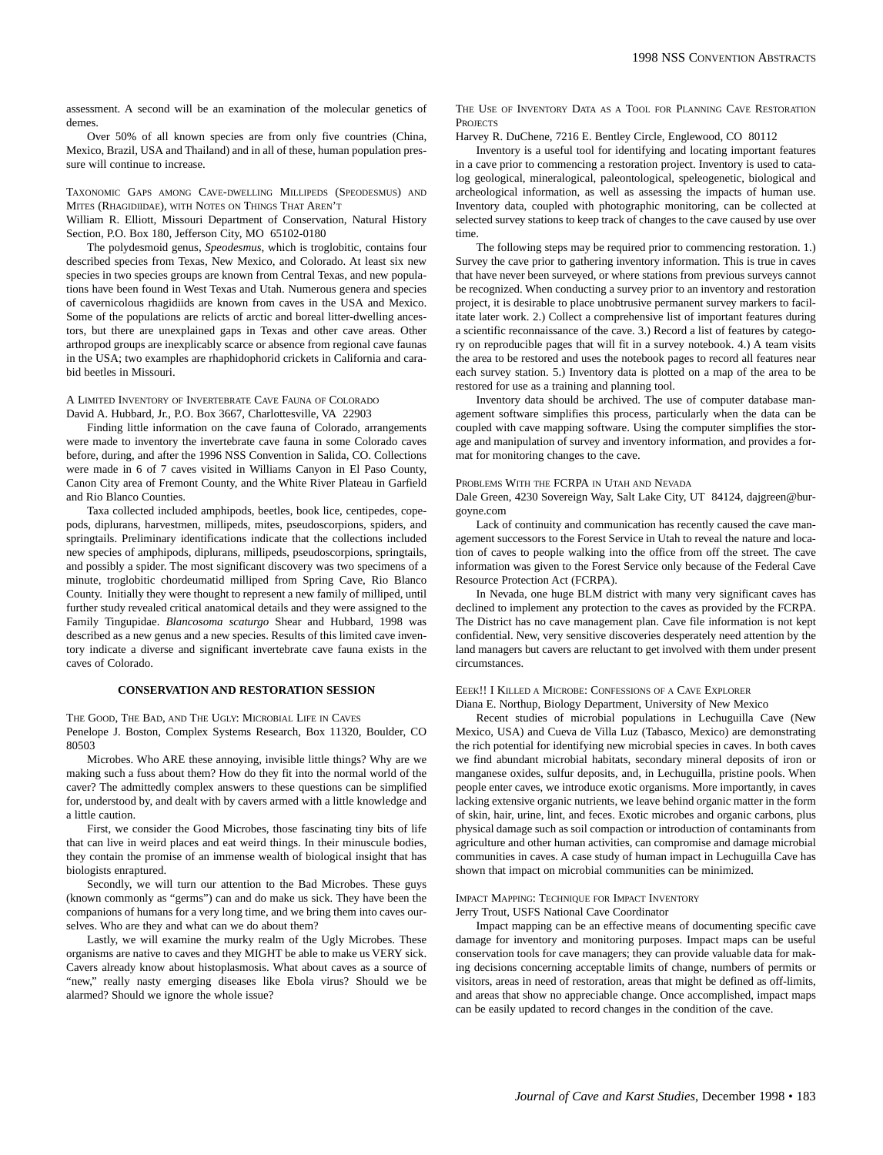assessment. A second will be an examination of the molecular genetics of demes.

Over 50% of all known species are from only five countries (China, Mexico, Brazil, USA and Thailand) and in all of these, human population pressure will continue to increase.

## TAXONOMIC GAPS AMONG CAVE-DWELLING MILLIPEDS (SPEODESMUS) AND MITES (RHAGIDIIDAE), WITH NOTES ON THINGS THAT AREN'T

William R. Elliott, Missouri Department of Conservation, Natural History Section, P.O. Box 180, Jefferson City, MO 65102-0180

The polydesmoid genus, *Speodesmus*, which is troglobitic, contains four described species from Texas, New Mexico, and Colorado. At least six new species in two species groups are known from Central Texas, and new populations have been found in West Texas and Utah. Numerous genera and species of cavernicolous rhagidiids are known from caves in the USA and Mexico. Some of the populations are relicts of arctic and boreal litter-dwelling ancestors, but there are unexplained gaps in Texas and other cave areas. Other arthropod groups are inexplicably scarce or absence from regional cave faunas in the USA; two examples are rhaphidophorid crickets in California and carabid beetles in Missouri.

## A LIMITED INVENTORY OF INVERTEBRATE CAVE FAUNA OF COLORADO David A. Hubbard, Jr., P.O. Box 3667, Charlottesville, VA 22903

Finding little information on the cave fauna of Colorado, arrangements were made to inventory the invertebrate cave fauna in some Colorado caves before, during, and after the 1996 NSS Convention in Salida, CO. Collections were made in 6 of 7 caves visited in Williams Canyon in El Paso County, Canon City area of Fremont County, and the White River Plateau in Garfield and Rio Blanco Counties.

Taxa collected included amphipods, beetles, book lice, centipedes, copepods, diplurans, harvestmen, millipeds, mites, pseudoscorpions, spiders, and springtails. Preliminary identifications indicate that the collections included new species of amphipods, diplurans, millipeds, pseudoscorpions, springtails, and possibly a spider. The most significant discovery was two specimens of a minute, troglobitic chordeumatid milliped from Spring Cave, Rio Blanco County. Initially they were thought to represent a new family of milliped, until further study revealed critical anatomical details and they were assigned to the Family Tingupidae. *Blancosoma scaturgo* Shear and Hubbard, 1998 was described as a new genus and a new species. Results of this limited cave inventory indicate a diverse and significant invertebrate cave fauna exists in the caves of Colorado.

# **CONSERVATION AND RESTORATION SESSION**

THE GOOD, THE BAD, AND THE UGLY: MICROBIAL LIFE IN CAVES Penelope J. Boston, Complex Systems Research, Box 11320, Boulder, CO 80503

Microbes. Who ARE these annoying, invisible little things? Why are we making such a fuss about them? How do they fit into the normal world of the caver? The admittedly complex answers to these questions can be simplified for, understood by, and dealt with by cavers armed with a little knowledge and a little caution.

First, we consider the Good Microbes, those fascinating tiny bits of life that can live in weird places and eat weird things. In their minuscule bodies, they contain the promise of an immense wealth of biological insight that has biologists enraptured.

Secondly, we will turn our attention to the Bad Microbes. These guys (known commonly as "germs") can and do make us sick. They have been the companions of humans for a very long time, and we bring them into caves ourselves. Who are they and what can we do about them?

Lastly, we will examine the murky realm of the Ugly Microbes. These organisms are native to caves and they MIGHT be able to make us VERY sick. Cavers already know about histoplasmosis. What about caves as a source of "new," really nasty emerging diseases like Ebola virus? Should we be alarmed? Should we ignore the whole issue?

THE USE OF INVENTORY DATA AS A TOOL FOR PLANNING CAVE RESTORATION **PROJECTS** 

Harvey R. DuChene, 7216 E. Bentley Circle, Englewood, CO 80112

Inventory is a useful tool for identifying and locating important features in a cave prior to commencing a restoration project. Inventory is used to catalog geological, mineralogical, paleontological, speleogenetic, biological and archeological information, as well as assessing the impacts of human use. Inventory data, coupled with photographic monitoring, can be collected at selected survey stations to keep track of changes to the cave caused by use over time.

The following steps may be required prior to commencing restoration. 1.) Survey the cave prior to gathering inventory information. This is true in caves that have never been surveyed, or where stations from previous surveys cannot be recognized. When conducting a survey prior to an inventory and restoration project, it is desirable to place unobtrusive permanent survey markers to facilitate later work. 2.) Collect a comprehensive list of important features during a scientific reconnaissance of the cave. 3.) Record a list of features by category on reproducible pages that will fit in a survey notebook. 4.) A team visits the area to be restored and uses the notebook pages to record all features near each survey station. 5.) Inventory data is plotted on a map of the area to be restored for use as a training and planning tool.

Inventory data should be archived. The use of computer database management software simplifies this process, particularly when the data can be coupled with cave mapping software. Using the computer simplifies the storage and manipulation of survey and inventory information, and provides a format for monitoring changes to the cave.

## PROBLEMS WITH THE FCRPA IN UTAH AND NEVADA

Dale Green, 4230 Sovereign Way, Salt Lake City, UT 84124, dajgreen@burgoyne.com

Lack of continuity and communication has recently caused the cave management successors to the Forest Service in Utah to reveal the nature and location of caves to people walking into the office from off the street. The cave information was given to the Forest Service only because of the Federal Cave Resource Protection Act (FCRPA).

In Nevada, one huge BLM district with many very significant caves has declined to implement any protection to the caves as provided by the FCRPA. The District has no cave management plan. Cave file information is not kept confidential. New, very sensitive discoveries desperately need attention by the land managers but cavers are reluctant to get involved with them under present circumstances.

## EEEK!! I KILLED A MICROBE: CONFESSIONS OF A CAVE EXPLORER

Diana E. Northup, Biology Department, University of New Mexico

Recent studies of microbial populations in Lechuguilla Cave (New Mexico, USA) and Cueva de Villa Luz (Tabasco, Mexico) are demonstrating the rich potential for identifying new microbial species in caves. In both caves we find abundant microbial habitats, secondary mineral deposits of iron or manganese oxides, sulfur deposits, and, in Lechuguilla, pristine pools. When people enter caves, we introduce exotic organisms. More importantly, in caves lacking extensive organic nutrients, we leave behind organic matter in the form of skin, hair, urine, lint, and feces. Exotic microbes and organic carbons, plus physical damage such as soil compaction or introduction of contaminants from agriculture and other human activities, can compromise and damage microbial communities in caves. A case study of human impact in Lechuguilla Cave has shown that impact on microbial communities can be minimized.

## IMPACT MAPPING: TECHNIQUE FOR IMPACT INVENTORY

Jerry Trout, USFS National Cave Coordinator

Impact mapping can be an effective means of documenting specific cave damage for inventory and monitoring purposes. Impact maps can be useful conservation tools for cave managers; they can provide valuable data for making decisions concerning acceptable limits of change, numbers of permits or visitors, areas in need of restoration, areas that might be defined as off-limits, and areas that show no appreciable change. Once accomplished, impact maps can be easily updated to record changes in the condition of the cave.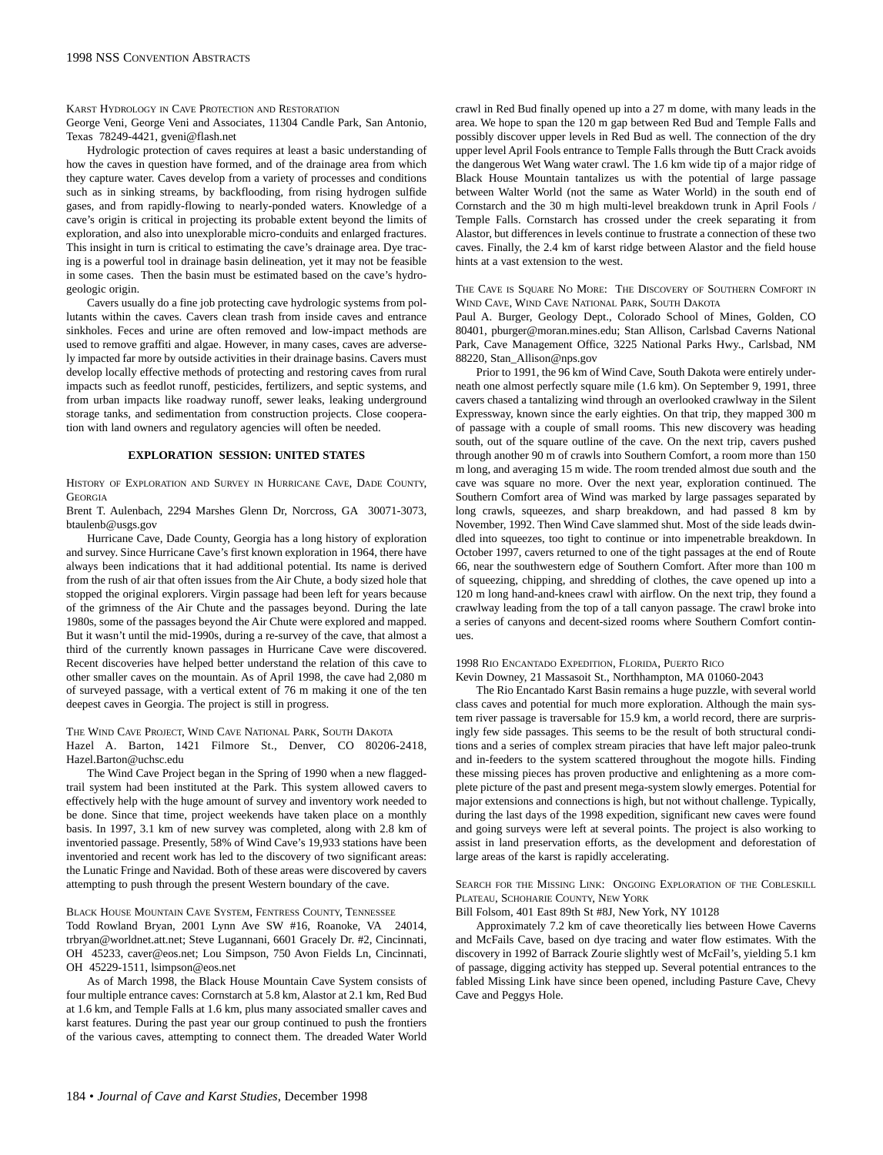KARST HYDROLOGY IN CAVE PROTECTION AND RESTORATION

George Veni, George Veni and Associates, 11304 Candle Park, San Antonio, Texas 78249-4421, gveni@flash.net

Hydrologic protection of caves requires at least a basic understanding of how the caves in question have formed, and of the drainage area from which they capture water. Caves develop from a variety of processes and conditions such as in sinking streams, by backflooding, from rising hydrogen sulfide gases, and from rapidly-flowing to nearly-ponded waters. Knowledge of a cave's origin is critical in projecting its probable extent beyond the limits of exploration, and also into unexplorable micro-conduits and enlarged fractures. This insight in turn is critical to estimating the cave's drainage area. Dye tracing is a powerful tool in drainage basin delineation, yet it may not be feasible in some cases. Then the basin must be estimated based on the cave's hydrogeologic origin.

Cavers usually do a fine job protecting cave hydrologic systems from pollutants within the caves. Cavers clean trash from inside caves and entrance sinkholes. Feces and urine are often removed and low-impact methods are used to remove graffiti and algae. However, in many cases, caves are adversely impacted far more by outside activities in their drainage basins. Cavers must develop locally effective methods of protecting and restoring caves from rural impacts such as feedlot runoff, pesticides, fertilizers, and septic systems, and from urban impacts like roadway runoff, sewer leaks, leaking underground storage tanks, and sedimentation from construction projects. Close cooperation with land owners and regulatory agencies will often be needed.

# **EXPLORATION SESSION: UNITED STATES**

HISTORY OF EXPLORATION AND SURVEY IN HURRICANE CAVE, DADE COUNTY, **GEORGIA** 

Brent T. Aulenbach, 2294 Marshes Glenn Dr, Norcross, GA 30071-3073, btaulenb@usgs.gov

Hurricane Cave, Dade County, Georgia has a long history of exploration and survey. Since Hurricane Cave's first known exploration in 1964, there have always been indications that it had additional potential. Its name is derived from the rush of air that often issues from the Air Chute, a body sized hole that stopped the original explorers. Virgin passage had been left for years because of the grimness of the Air Chute and the passages beyond. During the late 1980s, some of the passages beyond the Air Chute were explored and mapped. But it wasn't until the mid-1990s, during a re-survey of the cave, that almost a third of the currently known passages in Hurricane Cave were discovered. Recent discoveries have helped better understand the relation of this cave to other smaller caves on the mountain. As of April 1998, the cave had 2,080 m of surveyed passage, with a vertical extent of 76 m making it one of the ten deepest caves in Georgia. The project is still in progress.

## THE WIND CAVE PROJECT, WIND CAVE NATIONAL PARK, SOUTH DAKOTA Hazel A. Barton, 1421 Filmore St., Denver, CO 80206-2418, Hazel.Barton@uchsc.edu

The Wind Cave Project began in the Spring of 1990 when a new flaggedtrail system had been instituted at the Park. This system allowed cavers to effectively help with the huge amount of survey and inventory work needed to be done. Since that time, project weekends have taken place on a monthly basis. In 1997, 3.1 km of new survey was completed, along with 2.8 km of inventoried passage. Presently, 58% of Wind Cave's 19,933 stations have been inventoried and recent work has led to the discovery of two significant areas: the Lunatic Fringe and Navidad. Both of these areas were discovered by cavers attempting to push through the present Western boundary of the cave.

## BLACK HOUSE MOUNTAIN CAVE SYSTEM, FENTRESS COUNTY, TENNESSEE

Todd Rowland Bryan, 2001 Lynn Ave SW #16, Roanoke, VA 24014, trbryan@worldnet.att.net; Steve Lugannani, 6601 Gracely Dr. #2, Cincinnati, OH 45233, caver@eos.net; Lou Simpson, 750 Avon Fields Ln, Cincinnati, OH 45229-1511, lsimpson@eos.net

As of March 1998, the Black House Mountain Cave System consists of four multiple entrance caves: Cornstarch at 5.8 km, Alastor at 2.1 km, Red Bud at 1.6 km, and Temple Falls at 1.6 km, plus many associated smaller caves and karst features. During the past year our group continued to push the frontiers of the various caves, attempting to connect them. The dreaded Water World crawl in Red Bud finally opened up into a 27 m dome, with many leads in the area. We hope to span the 120 m gap between Red Bud and Temple Falls and possibly discover upper levels in Red Bud as well. The connection of the dry upper level April Fools entrance to Temple Falls through the Butt Crack avoids the dangerous Wet Wang water crawl. The 1.6 km wide tip of a major ridge of Black House Mountain tantalizes us with the potential of large passage between Walter World (not the same as Water World) in the south end of Cornstarch and the 30 m high multi-level breakdown trunk in April Fools / Temple Falls. Cornstarch has crossed under the creek separating it from Alastor, but differences in levels continue to frustrate a connection of these two caves. Finally, the 2.4 km of karst ridge between Alastor and the field house hints at a vast extension to the west.

THE CAVE IS SQUARE NO MORE: THE DISCOVERY OF SOUTHERN COMFORT IN WIND CAVE, WIND CAVE NATIONAL PARK, SOUTH DAKOTA

Paul A. Burger, Geology Dept., Colorado School of Mines, Golden, CO 80401, pburger@moran.mines.edu; Stan Allison, Carlsbad Caverns National Park, Cave Management Office, 3225 National Parks Hwy., Carlsbad, NM 88220, Stan\_Allison@nps.gov

Prior to 1991, the 96 km of Wind Cave, South Dakota were entirely underneath one almost perfectly square mile (1.6 km). On September 9, 1991, three cavers chased a tantalizing wind through an overlooked crawlway in the Silent Expressway, known since the early eighties. On that trip, they mapped 300 m of passage with a couple of small rooms. This new discovery was heading south, out of the square outline of the cave. On the next trip, cavers pushed through another 90 m of crawls into Southern Comfort, a room more than 150 m long, and averaging 15 m wide. The room trended almost due south and the cave was square no more. Over the next year, exploration continued. The Southern Comfort area of Wind was marked by large passages separated by long crawls, squeezes, and sharp breakdown, and had passed 8 km by November, 1992. Then Wind Cave slammed shut. Most of the side leads dwindled into squeezes, too tight to continue or into impenetrable breakdown. In October 1997, cavers returned to one of the tight passages at the end of Route 66, near the southwestern edge of Southern Comfort. After more than 100 m of squeezing, chipping, and shredding of clothes, the cave opened up into a 120 m long hand-and-knees crawl with airflow. On the next trip, they found a crawlway leading from the top of a tall canyon passage. The crawl broke into a series of canyons and decent-sized rooms where Southern Comfort continues.

# 1998 RIO ENCANTADO EXPEDITION, FLORIDA, PUERTO RICO

Kevin Downey, 21 Massasoit St., Northhampton, MA 01060-2043

The Rio Encantado Karst Basin remains a huge puzzle, with several world class caves and potential for much more exploration. Although the main system river passage is traversable for 15.9 km, a world record, there are surprisingly few side passages. This seems to be the result of both structural conditions and a series of complex stream piracies that have left major paleo-trunk and in-feeders to the system scattered throughout the mogote hills. Finding these missing pieces has proven productive and enlightening as a more complete picture of the past and present mega-system slowly emerges. Potential for major extensions and connections is high, but not without challenge. Typically, during the last days of the 1998 expedition, significant new caves were found and going surveys were left at several points. The project is also working to assist in land preservation efforts, as the development and deforestation of large areas of the karst is rapidly accelerating.

SEARCH FOR THE MISSING LINK: ONGOING EXPLORATION OF THE COBLESKILL PLATEAU, SCHOHARIE COUNTY, NEW YORK

Bill Folsom, 401 East 89th St #8J, New York, NY 10128

Approximately 7.2 km of cave theoretically lies between Howe Caverns and McFails Cave, based on dye tracing and water flow estimates. With the discovery in 1992 of Barrack Zourie slightly west of McFail's, yielding 5.1 km of passage, digging activity has stepped up. Several potential entrances to the fabled Missing Link have since been opened, including Pasture Cave, Chevy Cave and Peggys Hole.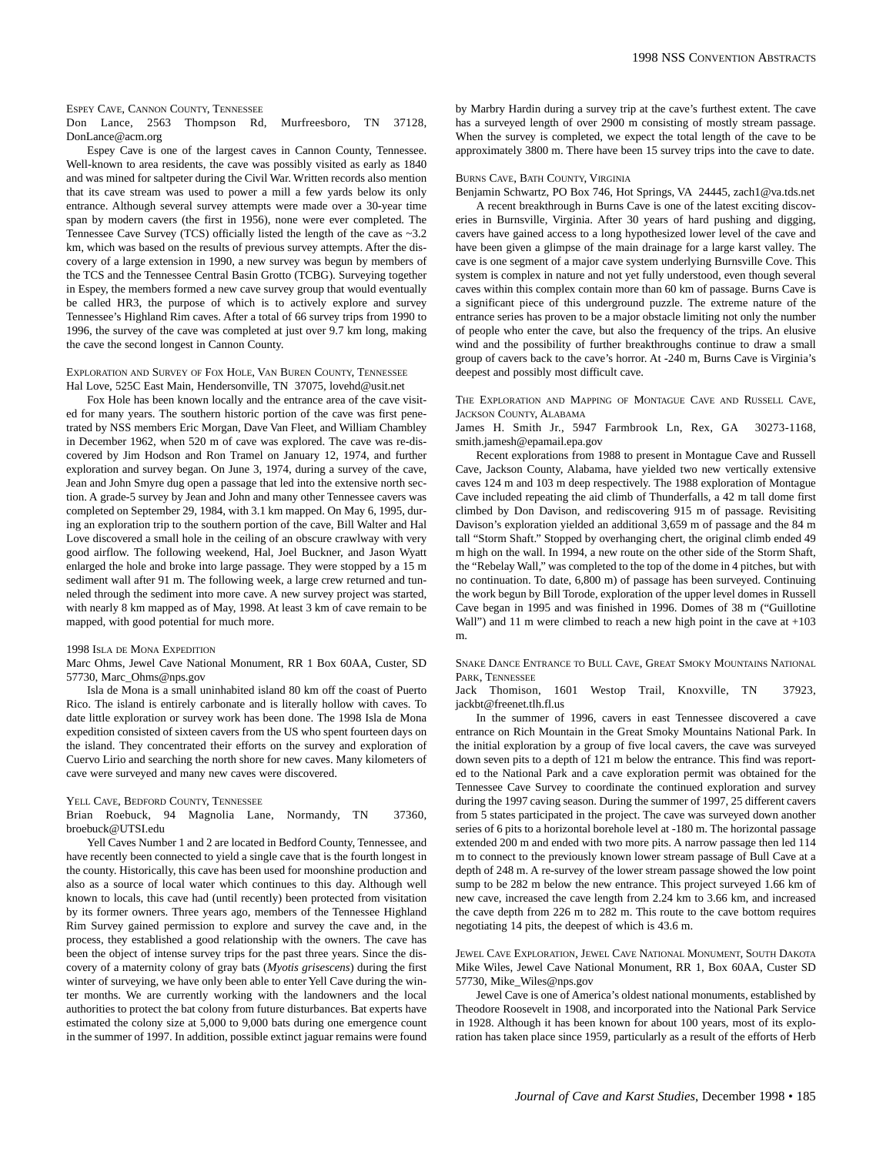#### ESPEY CAVE, CANNON COUNTY, TENNESSEE

Don Lance, 2563 Thompson Rd, Murfreesboro, TN 37128, DonLance@acm.org

Espey Cave is one of the largest caves in Cannon County, Tennessee. Well-known to area residents, the cave was possibly visited as early as 1840 and was mined for saltpeter during the Civil War. Written records also mention that its cave stream was used to power a mill a few yards below its only entrance. Although several survey attempts were made over a 30-year time span by modern cavers (the first in 1956), none were ever completed. The Tennessee Cave Survey (TCS) officially listed the length of the cave as ~3.2 km, which was based on the results of previous survey attempts. After the discovery of a large extension in 1990, a new survey was begun by members of the TCS and the Tennessee Central Basin Grotto (TCBG). Surveying together in Espey, the members formed a new cave survey group that would eventually be called HR3, the purpose of which is to actively explore and survey Tennessee's Highland Rim caves. After a total of 66 survey trips from 1990 to 1996, the survey of the cave was completed at just over 9.7 km long, making the cave the second longest in Cannon County.

## EXPLORATION AND SURVEY OF FOX HOLE, VAN BUREN COUNTY, TENNESSEE Hal Love, 525C East Main, Hendersonville, TN 37075, lovehd@usit.net

Fox Hole has been known locally and the entrance area of the cave visited for many years. The southern historic portion of the cave was first penetrated by NSS members Eric Morgan, Dave Van Fleet, and William Chambley in December 1962, when 520 m of cave was explored. The cave was re-discovered by Jim Hodson and Ron Tramel on January 12, 1974, and further exploration and survey began. On June 3, 1974, during a survey of the cave, Jean and John Smyre dug open a passage that led into the extensive north section. A grade-5 survey by Jean and John and many other Tennessee cavers was completed on September 29, 1984, with 3.1 km mapped. On May 6, 1995, during an exploration trip to the southern portion of the cave, Bill Walter and Hal Love discovered a small hole in the ceiling of an obscure crawlway with very good airflow. The following weekend, Hal, Joel Buckner, and Jason Wyatt enlarged the hole and broke into large passage. They were stopped by a 15 m sediment wall after 91 m. The following week, a large crew returned and tunneled through the sediment into more cave. A new survey project was started, with nearly 8 km mapped as of May, 1998. At least 3 km of cave remain to be mapped, with good potential for much more.

#### 1998 ISLA DE MONA EXPEDITION

Marc Ohms, Jewel Cave National Monument, RR 1 Box 60AA, Custer, SD 57730, Marc\_Ohms@nps.gov

Isla de Mona is a small uninhabited island 80 km off the coast of Puerto Rico. The island is entirely carbonate and is literally hollow with caves. To date little exploration or survey work has been done. The 1998 Isla de Mona expedition consisted of sixteen cavers from the US who spent fourteen days on the island. They concentrated their efforts on the survey and exploration of Cuervo Lirio and searching the north shore for new caves. Many kilometers of cave were surveyed and many new caves were discovered.

YELL CAVE, BEDFORD COUNTY, TENNESSEE

## Brian Roebuck, 94 Magnolia Lane, Normandy, TN 37360, broebuck@UTSI.edu

Yell Caves Number 1 and 2 are located in Bedford County, Tennessee, and have recently been connected to yield a single cave that is the fourth longest in the county. Historically, this cave has been used for moonshine production and also as a source of local water which continues to this day. Although well known to locals, this cave had (until recently) been protected from visitation by its former owners. Three years ago, members of the Tennessee Highland Rim Survey gained permission to explore and survey the cave and, in the process, they established a good relationship with the owners. The cave has been the object of intense survey trips for the past three years. Since the discovery of a maternity colony of gray bats (*Myotis grisescens*) during the first winter of surveying, we have only been able to enter Yell Cave during the winter months. We are currently working with the landowners and the local authorities to protect the bat colony from future disturbances. Bat experts have estimated the colony size at 5,000 to 9,000 bats during one emergence count in the summer of 1997. In addition, possible extinct jaguar remains were found by Marbry Hardin during a survey trip at the cave's furthest extent. The cave has a surveyed length of over 2900 m consisting of mostly stream passage. When the survey is completed, we expect the total length of the cave to be approximately 3800 m. There have been 15 survey trips into the cave to date.

#### BURNS CAVE, BATH COUNTY, VIRGINIA

Benjamin Schwartz, PO Box 746, Hot Springs, VA 24445, zach1@va.tds.net

A recent breakthrough in Burns Cave is one of the latest exciting discoveries in Burnsville, Virginia. After 30 years of hard pushing and digging, cavers have gained access to a long hypothesized lower level of the cave and have been given a glimpse of the main drainage for a large karst valley. The cave is one segment of a major cave system underlying Burnsville Cove. This system is complex in nature and not yet fully understood, even though several caves within this complex contain more than 60 km of passage. Burns Cave is a significant piece of this underground puzzle. The extreme nature of the entrance series has proven to be a major obstacle limiting not only the number of people who enter the cave, but also the frequency of the trips. An elusive wind and the possibility of further breakthroughs continue to draw a small group of cavers back to the cave's horror. At -240 m, Burns Cave is Virginia's deepest and possibly most difficult cave.

THE EXPLORATION AND MAPPING OF MONTAGUE CAVE AND RUSSELL CAVE, JACKSON COUNTY, ALABAMA

James H. Smith Jr., 5947 Farmbrook Ln, Rex, GA 30273-1168, smith.jamesh@epamail.epa.gov

Recent explorations from 1988 to present in Montague Cave and Russell Cave, Jackson County, Alabama, have yielded two new vertically extensive caves 124 m and 103 m deep respectively. The 1988 exploration of Montague Cave included repeating the aid climb of Thunderfalls, a 42 m tall dome first climbed by Don Davison, and rediscovering 915 m of passage. Revisiting Davison's exploration yielded an additional 3,659 m of passage and the 84 m tall "Storm Shaft." Stopped by overhanging chert, the original climb ended 49 m high on the wall. In 1994, a new route on the other side of the Storm Shaft, the "Rebelay Wall," was completed to the top of the dome in 4 pitches, but with no continuation. To date, 6,800 m) of passage has been surveyed. Continuing the work begun by Bill Torode, exploration of the upper level domes in Russell Cave began in 1995 and was finished in 1996. Domes of 38 m ("Guillotine Wall") and 11 m were climbed to reach a new high point in the cave at  $+103$ m.

SNAKE DANCE ENTRANCE TO BULL CAVE, GREAT SMOKY MOUNTAINS NATIONAL PARK, TENNESSEE

Jack Thomison, 1601 Westop Trail, Knoxville, TN 37923, jackbt@freenet.tlh.fl.us

In the summer of 1996, cavers in east Tennessee discovered a cave entrance on Rich Mountain in the Great Smoky Mountains National Park. In the initial exploration by a group of five local cavers, the cave was surveyed down seven pits to a depth of 121 m below the entrance. This find was reported to the National Park and a cave exploration permit was obtained for the Tennessee Cave Survey to coordinate the continued exploration and survey during the 1997 caving season. During the summer of 1997, 25 different cavers from 5 states participated in the project. The cave was surveyed down another series of 6 pits to a horizontal borehole level at -180 m. The horizontal passage extended 200 m and ended with two more pits. A narrow passage then led 114 m to connect to the previously known lower stream passage of Bull Cave at a depth of 248 m. A re-survey of the lower stream passage showed the low point sump to be 282 m below the new entrance. This project surveyed 1.66 km of new cave, increased the cave length from 2.24 km to 3.66 km, and increased the cave depth from 226 m to 282 m. This route to the cave bottom requires negotiating 14 pits, the deepest of which is 43.6 m.

JEWEL CAVE EXPLORATION, JEWEL CAVE NATIONAL MONUMENT, SOUTH DAKOTA Mike Wiles, Jewel Cave National Monument, RR 1, Box 60AA, Custer SD 57730, Mike\_Wiles@nps.gov

Jewel Cave is one of America's oldest national monuments, established by Theodore Roosevelt in 1908, and incorporated into the National Park Service in 1928. Although it has been known for about 100 years, most of its exploration has taken place since 1959, particularly as a result of the efforts of Herb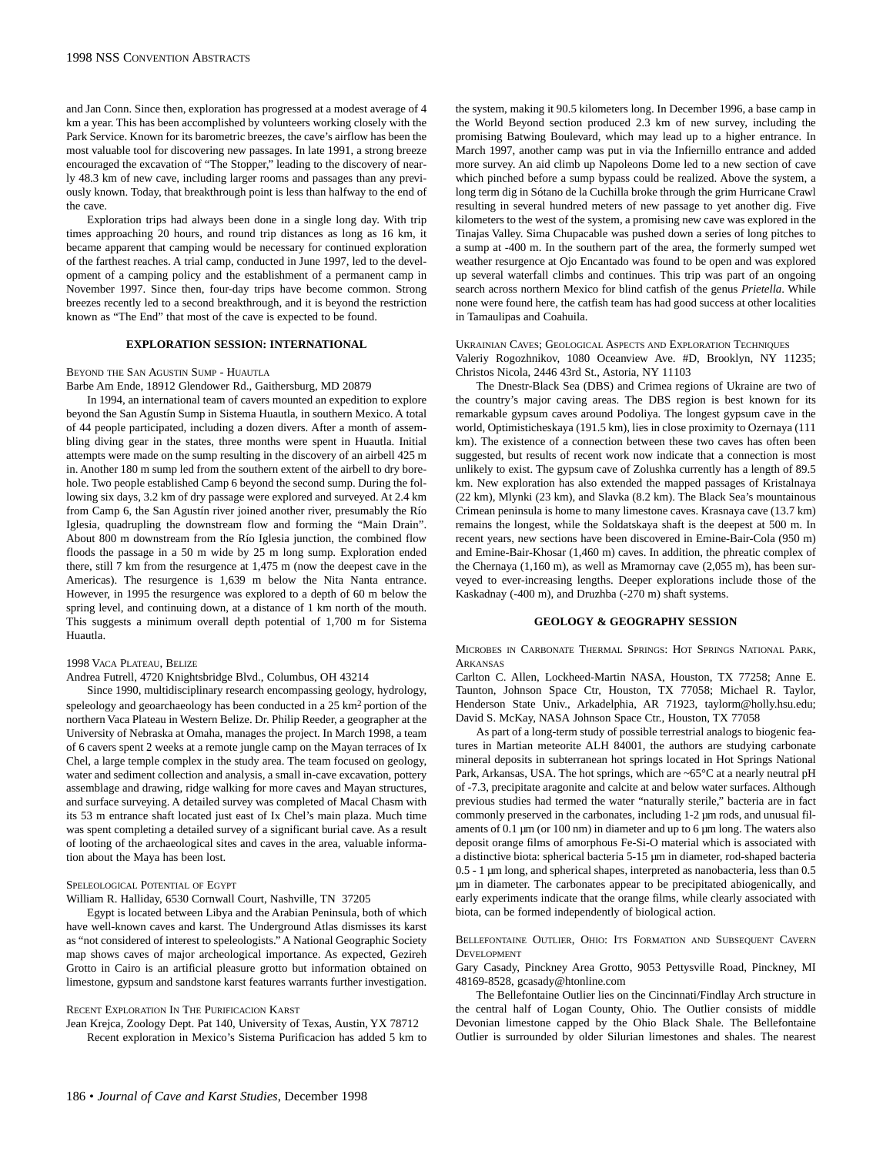and Jan Conn. Since then, exploration has progressed at a modest average of 4 km a year. This has been accomplished by volunteers working closely with the Park Service. Known for its barometric breezes, the cave's airflow has been the most valuable tool for discovering new passages. In late 1991, a strong breeze encouraged the excavation of "The Stopper," leading to the discovery of nearly 48.3 km of new cave, including larger rooms and passages than any previously known. Today, that breakthrough point is less than halfway to the end of the cave.

Exploration trips had always been done in a single long day. With trip times approaching 20 hours, and round trip distances as long as 16 km, it became apparent that camping would be necessary for continued exploration of the farthest reaches. A trial camp, conducted in June 1997, led to the development of a camping policy and the establishment of a permanent camp in November 1997. Since then, four-day trips have become common. Strong breezes recently led to a second breakthrough, and it is beyond the restriction known as "The End" that most of the cave is expected to be found.

## **EXPLORATION SESSION: INTERNATIONAL**

BEYOND THE SAN AGUSTIN SUMP - HUAUTLA

Barbe Am Ende, 18912 Glendower Rd., Gaithersburg, MD 20879

In 1994, an international team of cavers mounted an expedition to explore beyond the San Agustín Sump in Sistema Huautla, in southern Mexico. A total of 44 people participated, including a dozen divers. After a month of assembling diving gear in the states, three months were spent in Huautla. Initial attempts were made on the sump resulting in the discovery of an airbell 425 m in. Another 180 m sump led from the southern extent of the airbell to dry borehole. Two people established Camp 6 beyond the second sump. During the following six days, 3.2 km of dry passage were explored and surveyed. At 2.4 km from Camp 6, the San Agustín river joined another river, presumably the Río Iglesia, quadrupling the downstream flow and forming the "Main Drain". About 800 m downstream from the Río Iglesia junction, the combined flow floods the passage in a 50 m wide by 25 m long sump. Exploration ended there, still 7 km from the resurgence at 1,475 m (now the deepest cave in the Americas). The resurgence is 1,639 m below the Nita Nanta entrance. However, in 1995 the resurgence was explored to a depth of 60 m below the spring level, and continuing down, at a distance of 1 km north of the mouth. This suggests a minimum overall depth potential of 1,700 m for Sistema Huautla.

# 1998 VACA PLATEAU, BELIZE

Andrea Futrell, 4720 Knightsbridge Blvd., Columbus, OH 43214

Since 1990, multidisciplinary research encompassing geology, hydrology, speleology and geoarchaeology has been conducted in a 25 km<sup>2</sup> portion of the northern Vaca Plateau in Western Belize. Dr. Philip Reeder, a geographer at the University of Nebraska at Omaha, manages the project. In March 1998, a team of 6 cavers spent 2 weeks at a remote jungle camp on the Mayan terraces of Ix Chel, a large temple complex in the study area. The team focused on geology, water and sediment collection and analysis, a small in-cave excavation, pottery assemblage and drawing, ridge walking for more caves and Mayan structures, and surface surveying. A detailed survey was completed of Macal Chasm with its 53 m entrance shaft located just east of Ix Chel's main plaza. Much time was spent completing a detailed survey of a significant burial cave. As a result of looting of the archaeological sites and caves in the area, valuable information about the Maya has been lost.

#### SPELEOLOGICAL POTENTIAL OF EGYPT

William R. Halliday, 6530 Cornwall Court, Nashville, TN 37205

Egypt is located between Libya and the Arabian Peninsula, both of which have well-known caves and karst. The Underground Atlas dismisses its karst as "not considered of interest to speleologists." A National Geographic Society map shows caves of major archeological importance. As expected, Gezireh Grotto in Cairo is an artificial pleasure grotto but information obtained on limestone, gypsum and sandstone karst features warrants further investigation.

#### RECENT EXPLORATION IN THE PURIFICACION KARST

Jean Krejca, Zoology Dept. Pat 140, University of Texas, Austin, YX 78712 Recent exploration in Mexico's Sistema Purificacion has added 5 km to the system, making it 90.5 kilometers long. In December 1996, a base camp in the World Beyond section produced 2.3 km of new survey, including the promising Batwing Boulevard, which may lead up to a higher entrance. In March 1997, another camp was put in via the Infiernillo entrance and added more survey. An aid climb up Napoleons Dome led to a new section of cave which pinched before a sump bypass could be realized. Above the system, a long term dig in Sótano de la Cuchilla broke through the grim Hurricane Crawl resulting in several hundred meters of new passage to yet another dig. Five kilometers to the west of the system, a promising new cave was explored in the Tinajas Valley. Sima Chupacable was pushed down a series of long pitches to a sump at -400 m. In the southern part of the area, the formerly sumped wet weather resurgence at Ojo Encantado was found to be open and was explored up several waterfall climbs and continues. This trip was part of an ongoing search across northern Mexico for blind catfish of the genus *Prietella*. While none were found here, the catfish team has had good success at other localities in Tamaulipas and Coahuila.

UKRAINIAN CAVES; GEOLOGICAL ASPECTS AND EXPLORATION TECHNIQUES Valeriy Rogozhnikov, 1080 Oceanview Ave. #D, Brooklyn, NY 11235; Christos Nicola, 2446 43rd St., Astoria, NY 11103

The Dnestr-Black Sea (DBS) and Crimea regions of Ukraine are two of the country's major caving areas. The DBS region is best known for its remarkable gypsum caves around Podoliya. The longest gypsum cave in the world, Optimisticheskaya (191.5 km), lies in close proximity to Ozernaya (111 km). The existence of a connection between these two caves has often been suggested, but results of recent work now indicate that a connection is most unlikely to exist. The gypsum cave of Zolushka currently has a length of 89.5 km. New exploration has also extended the mapped passages of Kristalnaya (22 km), Mlynki (23 km), and Slavka (8.2 km). The Black Sea's mountainous Crimean peninsula is home to many limestone caves. Krasnaya cave (13.7 km) remains the longest, while the Soldatskaya shaft is the deepest at 500 m. In recent years, new sections have been discovered in Emine-Bair-Cola (950 m) and Emine-Bair-Khosar (1,460 m) caves. In addition, the phreatic complex of the Chernaya (1,160 m), as well as Mramornay cave (2,055 m), has been surveyed to ever-increasing lengths. Deeper explorations include those of the Kaskadnay (-400 m), and Druzhba (-270 m) shaft systems.

## **GEOLOGY & GEOGRAPHY SESSION**

MICROBES IN CARBONATE THERMAL SPRINGS: HOT SPRINGS NATIONAL PARK, ARKANSAS

Carlton C. Allen, Lockheed-Martin NASA, Houston, TX 77258; Anne E. Taunton, Johnson Space Ctr, Houston, TX 77058; Michael R. Taylor, Henderson State Univ., Arkadelphia, AR 71923, taylorm@holly.hsu.edu; David S. McKay, NASA Johnson Space Ctr., Houston, TX 77058

As part of a long-term study of possible terrestrial analogs to biogenic features in Martian meteorite ALH 84001, the authors are studying carbonate mineral deposits in subterranean hot springs located in Hot Springs National Park, Arkansas, USA. The hot springs, which are  $\sim 65^{\circ}$ C at a nearly neutral pH of -7.3, precipitate aragonite and calcite at and below water surfaces. Although previous studies had termed the water "naturally sterile," bacteria are in fact commonly preserved in the carbonates, including 1-2 µm rods, and unusual filaments of 0.1  $\mu$ m (or 100 nm) in diameter and up to 6  $\mu$ m long. The waters also deposit orange films of amorphous Fe-Si-O material which is associated with a distinctive biota: spherical bacteria 5-15 µm in diameter, rod-shaped bacteria 0.5 - 1 µm long, and spherical shapes, interpreted as nanobacteria, less than 0.5 µm in diameter. The carbonates appear to be precipitated abiogenically, and early experiments indicate that the orange films, while clearly associated with biota, can be formed independently of biological action.

## BELLEFONTAINE OUTLIER, OHIO: ITS FORMATION AND SUBSEQUENT CAVERN DEVELOPMENT

Gary Casady, Pinckney Area Grotto, 9053 Pettysville Road, Pinckney, MI 48169-8528, gcasady@htonline.com

The Bellefontaine Outlier lies on the Cincinnati/Findlay Arch structure in the central half of Logan County, Ohio. The Outlier consists of middle Devonian limestone capped by the Ohio Black Shale. The Bellefontaine Outlier is surrounded by older Silurian limestones and shales. The nearest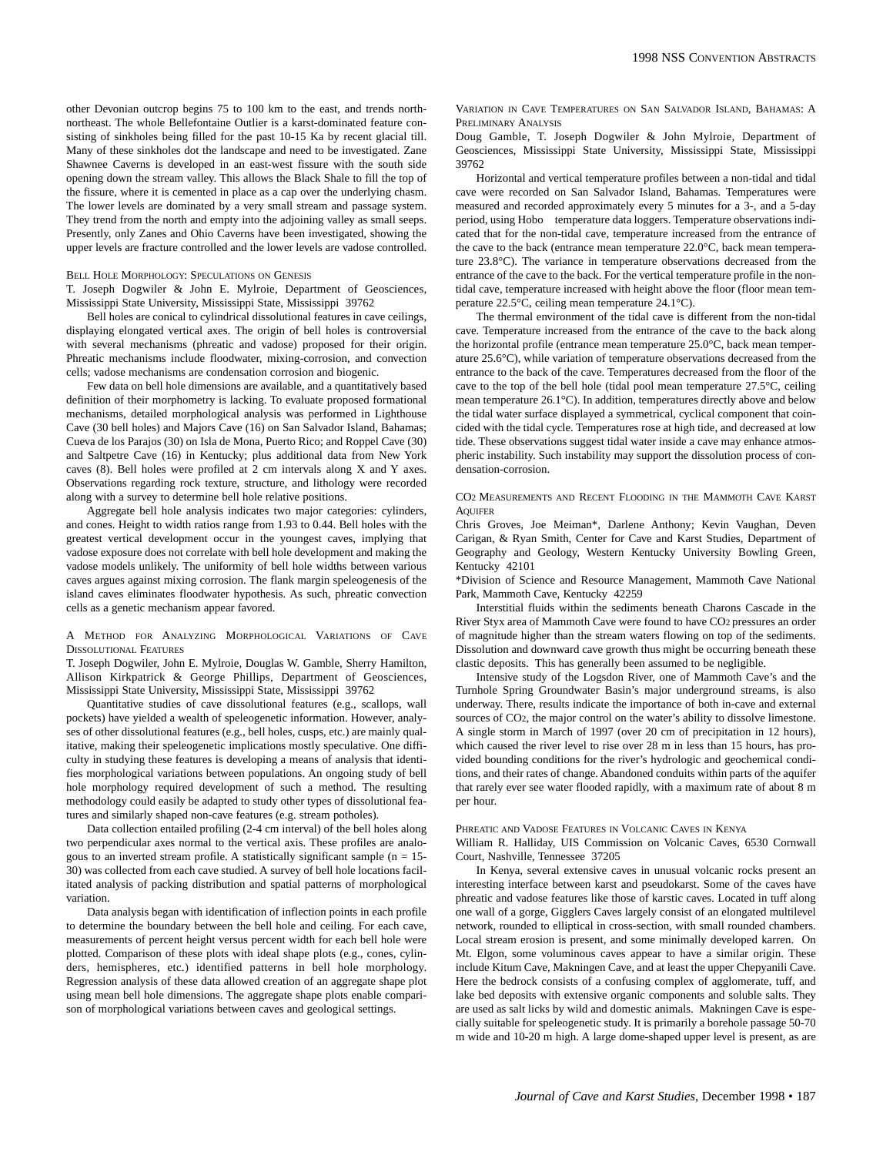other Devonian outcrop begins 75 to 100 km to the east, and trends northnortheast. The whole Bellefontaine Outlier is a karst-dominated feature consisting of sinkholes being filled for the past 10-15 Ka by recent glacial till. Many of these sinkholes dot the landscape and need to be investigated. Zane Shawnee Caverns is developed in an east-west fissure with the south side opening down the stream valley. This allows the Black Shale to fill the top of the fissure, where it is cemented in place as a cap over the underlying chasm. The lower levels are dominated by a very small stream and passage system. They trend from the north and empty into the adjoining valley as small seeps. Presently, only Zanes and Ohio Caverns have been investigated, showing the upper levels are fracture controlled and the lower levels are vadose controlled.

#### BELL HOLE MORPHOLOGY: SPECULATIONS ON GENESIS

T. Joseph Dogwiler & John E. Mylroie, Department of Geosciences, Mississippi State University, Mississippi State, Mississippi 39762

Bell holes are conical to cylindrical dissolutional features in cave ceilings, displaying elongated vertical axes. The origin of bell holes is controversial with several mechanisms (phreatic and vadose) proposed for their origin. Phreatic mechanisms include floodwater, mixing-corrosion, and convection cells; vadose mechanisms are condensation corrosion and biogenic.

Few data on bell hole dimensions are available, and a quantitatively based definition of their morphometry is lacking. To evaluate proposed formational mechanisms, detailed morphological analysis was performed in Lighthouse Cave (30 bell holes) and Majors Cave (16) on San Salvador Island, Bahamas; Cueva de los Parajos (30) on Isla de Mona, Puerto Rico; and Roppel Cave (30) and Saltpetre Cave (16) in Kentucky; plus additional data from New York caves (8). Bell holes were profiled at 2 cm intervals along X and Y axes. Observations regarding rock texture, structure, and lithology were recorded along with a survey to determine bell hole relative positions.

Aggregate bell hole analysis indicates two major categories: cylinders, and cones. Height to width ratios range from 1.93 to 0.44. Bell holes with the greatest vertical development occur in the youngest caves, implying that vadose exposure does not correlate with bell hole development and making the vadose models unlikely. The uniformity of bell hole widths between various caves argues against mixing corrosion. The flank margin speleogenesis of the island caves eliminates floodwater hypothesis. As such, phreatic convection cells as a genetic mechanism appear favored.

A METHOD FOR ANALYZING MORPHOLOGICAL VARIATIONS OF CAVE DISSOLUTIONAL FEATURES

T. Joseph Dogwiler, John E. Mylroie, Douglas W. Gamble, Sherry Hamilton, Allison Kirkpatrick & George Phillips, Department of Geosciences, Mississippi State University, Mississippi State, Mississippi 39762

Quantitative studies of cave dissolutional features (e.g., scallops, wall pockets) have yielded a wealth of speleogenetic information. However, analyses of other dissolutional features (e.g., bell holes, cusps, etc.) are mainly qualitative, making their speleogenetic implications mostly speculative. One difficulty in studying these features is developing a means of analysis that identifies morphological variations between populations. An ongoing study of bell hole morphology required development of such a method. The resulting methodology could easily be adapted to study other types of dissolutional features and similarly shaped non-cave features (e.g. stream potholes).

Data collection entailed profiling (2-4 cm interval) of the bell holes along two perpendicular axes normal to the vertical axis. These profiles are analogous to an inverted stream profile. A statistically significant sample ( $n = 15$ -30) was collected from each cave studied. A survey of bell hole locations facilitated analysis of packing distribution and spatial patterns of morphological variation.

Data analysis began with identification of inflection points in each profile to determine the boundary between the bell hole and ceiling. For each cave, measurements of percent height versus percent width for each bell hole were plotted. Comparison of these plots with ideal shape plots (e.g., cones, cylinders, hemispheres, etc.) identified patterns in bell hole morphology. Regression analysis of these data allowed creation of an aggregate shape plot using mean bell hole dimensions. The aggregate shape plots enable comparison of morphological variations between caves and geological settings.

VARIATION IN CAVE TEMPERATURES ON SAN SALVADOR ISLAND, BAHAMAS: A PRELIMINARY ANALYSIS

Doug Gamble, T. Joseph Dogwiler & John Mylroie, Department of Geosciences, Mississippi State University, Mississippi State, Mississippi 39762

Horizontal and vertical temperature profiles between a non-tidal and tidal cave were recorded on San Salvador Island, Bahamas. Temperatures were measured and recorded approximately every 5 minutes for a 3-, and a 5-day period, using Hobo<sup>TM</sup> temperature data loggers. Temperature observations indicated that for the non-tidal cave, temperature increased from the entrance of the cave to the back (entrance mean temperature 22.0°C, back mean temperature 23.8°C). The variance in temperature observations decreased from the entrance of the cave to the back. For the vertical temperature profile in the nontidal cave, temperature increased with height above the floor (floor mean temperature 22.5°C, ceiling mean temperature 24.1°C).

The thermal environment of the tidal cave is different from the non-tidal cave. Temperature increased from the entrance of the cave to the back along the horizontal profile (entrance mean temperature 25.0°C, back mean temperature 25.6°C), while variation of temperature observations decreased from the entrance to the back of the cave. Temperatures decreased from the floor of the cave to the top of the bell hole (tidal pool mean temperature 27.5°C, ceiling mean temperature 26.1°C). In addition, temperatures directly above and below the tidal water surface displayed a symmetrical, cyclical component that coincided with the tidal cycle. Temperatures rose at high tide, and decreased at low tide. These observations suggest tidal water inside a cave may enhance atmospheric instability. Such instability may support the dissolution process of condensation-corrosion.

CO2 MEASUREMENTS AND RECENT FLOODING IN THE MAMMOTH CAVE KARST **AQUIFER** 

Chris Groves, Joe Meiman\*, Darlene Anthony; Kevin Vaughan, Deven Carigan, & Ryan Smith, Center for Cave and Karst Studies, Department of Geography and Geology, Western Kentucky University Bowling Green, Kentucky 42101

\*Division of Science and Resource Management, Mammoth Cave National Park, Mammoth Cave, Kentucky 42259

Interstitial fluids within the sediments beneath Charons Cascade in the River Styx area of Mammoth Cave were found to have CO2 pressures an order of magnitude higher than the stream waters flowing on top of the sediments. Dissolution and downward cave growth thus might be occurring beneath these clastic deposits. This has generally been assumed to be negligible.

Intensive study of the Logsdon River, one of Mammoth Cave's and the Turnhole Spring Groundwater Basin's major underground streams, is also underway. There, results indicate the importance of both in-cave and external sources of CO2, the major control on the water's ability to dissolve limestone. A single storm in March of 1997 (over 20 cm of precipitation in 12 hours), which caused the river level to rise over 28 m in less than 15 hours, has provided bounding conditions for the river's hydrologic and geochemical conditions, and their rates of change. Abandoned conduits within parts of the aquifer that rarely ever see water flooded rapidly, with a maximum rate of about 8 m per hour.

## PHREATIC AND VADOSE FEATURES IN VOLCANIC CAVES IN KENYA

William R. Halliday, UIS Commission on Volcanic Caves, 6530 Cornwall Court, Nashville, Tennessee 37205

In Kenya, several extensive caves in unusual volcanic rocks present an interesting interface between karst and pseudokarst. Some of the caves have phreatic and vadose features like those of karstic caves. Located in tuff along one wall of a gorge, Gigglers Caves largely consist of an elongated multilevel network, rounded to elliptical in cross-section, with small rounded chambers. Local stream erosion is present, and some minimally developed karren. On Mt. Elgon, some voluminous caves appear to have a similar origin. These include Kitum Cave, Makningen Cave, and at least the upper Chepyanili Cave. Here the bedrock consists of a confusing complex of agglomerate, tuff, and lake bed deposits with extensive organic components and soluble salts. They are used as salt licks by wild and domestic animals. Makningen Cave is especially suitable for speleogenetic study. It is primarily a borehole passage 50-70 m wide and 10-20 m high. A large dome-shaped upper level is present, as are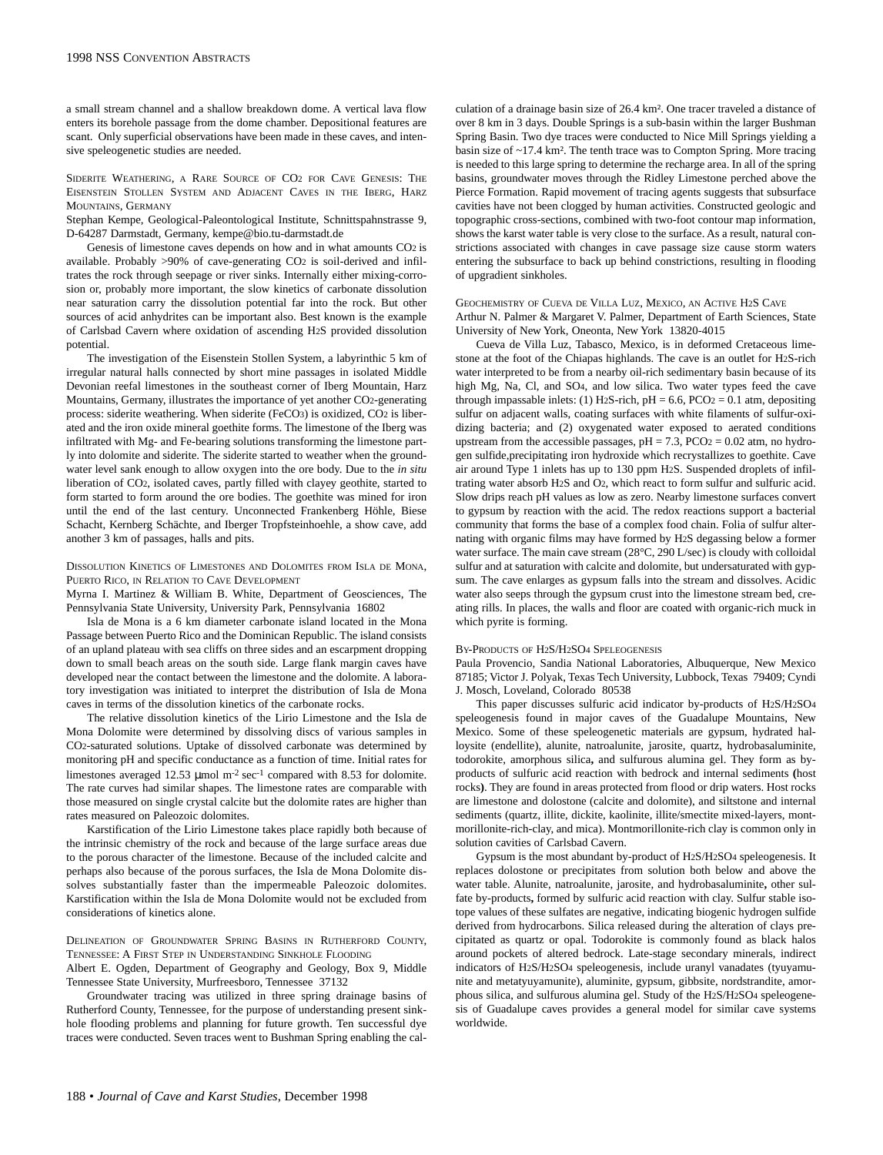a small stream channel and a shallow breakdown dome. A vertical lava flow enters its borehole passage from the dome chamber. Depositional features are scant. Only superficial observations have been made in these caves, and intensive speleogenetic studies are needed.

SIDERITE WEATHERING, A RARE SOURCE OF CO2 FOR CAVE GENESIS: THE EISENSTEIN STOLLEN SYSTEM AND ADJACENT CAVES IN THE IBERG, HARZ MOUNTAINS, GERMANY

Stephan Kempe, Geological-Paleontological Institute, Schnittspahnstrasse 9, D-64287 Darmstadt, Germany, kempe@bio.tu-darmstadt.de

Genesis of limestone caves depends on how and in what amounts CO2 is available. Probably >90% of cave-generating CO2 is soil-derived and infiltrates the rock through seepage or river sinks. Internally either mixing-corrosion or, probably more important, the slow kinetics of carbonate dissolution near saturation carry the dissolution potential far into the rock. But other sources of acid anhydrites can be important also. Best known is the example of Carlsbad Cavern where oxidation of ascending H2S provided dissolution potential.

The investigation of the Eisenstein Stollen System, a labyrinthic 5 km of irregular natural halls connected by short mine passages in isolated Middle Devonian reefal limestones in the southeast corner of Iberg Mountain, Harz Mountains, Germany, illustrates the importance of yet another CO2-generating process: siderite weathering. When siderite (FeCO3) is oxidized, CO2 is liberated and the iron oxide mineral goethite forms. The limestone of the Iberg was infiltrated with Mg- and Fe-bearing solutions transforming the limestone partly into dolomite and siderite. The siderite started to weather when the groundwater level sank enough to allow oxygen into the ore body. Due to the *in situ* liberation of CO2, isolated caves, partly filled with clayey geothite, started to form started to form around the ore bodies. The goethite was mined for iron until the end of the last century. Unconnected Frankenberg Höhle, Biese Schacht, Kernberg Schächte, and Iberger Tropfsteinhoehle, a show cave, add another 3 km of passages, halls and pits.

## DISSOLUTION KINETICS OF LIMESTONES AND DOLOMITES FROM ISLA DE MONA, PUERTO RICO, IN RELATION TO CAVE DEVELOPMENT

Myrna I. Martinez & William B. White, Department of Geosciences, The Pennsylvania State University, University Park, Pennsylvania 16802

Isla de Mona is a 6 km diameter carbonate island located in the Mona Passage between Puerto Rico and the Dominican Republic. The island consists of an upland plateau with sea cliffs on three sides and an escarpment dropping down to small beach areas on the south side. Large flank margin caves have developed near the contact between the limestone and the dolomite. A laboratory investigation was initiated to interpret the distribution of Isla de Mona caves in terms of the dissolution kinetics of the carbonate rocks.

The relative dissolution kinetics of the Lirio Limestone and the Isla de Mona Dolomite were determined by dissolving discs of various samples in CO2-saturated solutions. Uptake of dissolved carbonate was determined by monitoring pH and specific conductance as a function of time. Initial rates for limestones averaged 12.53  $\mu$ mol m<sup>-2</sup> sec<sup>-1</sup> compared with 8.53 for dolomite. The rate curves had similar shapes. The limestone rates are comparable with those measured on single crystal calcite but the dolomite rates are higher than rates measured on Paleozoic dolomites.

Karstification of the Lirio Limestone takes place rapidly both because of the intrinsic chemistry of the rock and because of the large surface areas due to the porous character of the limestone. Because of the included calcite and perhaps also because of the porous surfaces, the Isla de Mona Dolomite dissolves substantially faster than the impermeable Paleozoic dolomites. Karstification within the Isla de Mona Dolomite would not be excluded from considerations of kinetics alone.

DELINEATION OF GROUNDWATER SPRING BASINS IN RUTHERFORD COUNTY, TENNESSEE: A FIRST STEP IN UNDERSTANDING SINKHOLE FLOODING

Albert E. Ogden, Department of Geography and Geology, Box 9, Middle Tennessee State University, Murfreesboro, Tennessee 37132

Groundwater tracing was utilized in three spring drainage basins of Rutherford County, Tennessee, for the purpose of understanding present sinkhole flooding problems and planning for future growth. Ten successful dye traces were conducted. Seven traces went to Bushman Spring enabling the calculation of a drainage basin size of 26.4 km². One tracer traveled a distance of over 8 km in 3 days. Double Springs is a sub-basin within the larger Bushman Spring Basin. Two dye traces were conducted to Nice Mill Springs yielding a basin size of ~17.4 km². The tenth trace was to Compton Spring. More tracing is needed to this large spring to determine the recharge area. In all of the spring basins, groundwater moves through the Ridley Limestone perched above the Pierce Formation. Rapid movement of tracing agents suggests that subsurface cavities have not been clogged by human activities. Constructed geologic and topographic cross-sections, combined with two-foot contour map information, shows the karst water table is very close to the surface. As a result, natural constrictions associated with changes in cave passage size cause storm waters entering the subsurface to back up behind constrictions, resulting in flooding of upgradient sinkholes.

GEOCHEMISTRY OF CUEVA DE VILLA LUZ, MEXICO, AN ACTIVE H2S CAVE Arthur N. Palmer & Margaret V. Palmer, Department of Earth Sciences, State University of New York, Oneonta, New York 13820-4015

Cueva de Villa Luz, Tabasco, Mexico, is in deformed Cretaceous limestone at the foot of the Chiapas highlands. The cave is an outlet for H2S-rich water interpreted to be from a nearby oil-rich sedimentary basin because of its high Mg, Na, Cl, and SO4, and low silica. Two water types feed the cave through impassable inlets: (1) H<sub>2</sub>S-rich,  $pH = 6.6$ , PCO<sub>2</sub> = 0.1 atm, depositing sulfur on adjacent walls, coating surfaces with white filaments of sulfur-oxidizing bacteria; and (2) oxygenated water exposed to aerated conditions upstream from the accessible passages,  $pH = 7.3$ ,  $PCO<sub>2</sub> = 0.02$  atm, no hydrogen sulfide,precipitating iron hydroxide which recrystallizes to goethite. Cave air around Type 1 inlets has up to 130 ppm H2S. Suspended droplets of infiltrating water absorb H2S and O2, which react to form sulfur and sulfuric acid. Slow drips reach pH values as low as zero. Nearby limestone surfaces convert to gypsum by reaction with the acid. The redox reactions support a bacterial community that forms the base of a complex food chain. Folia of sulfur alternating with organic films may have formed by H2S degassing below a former water surface. The main cave stream (28°C, 290 L/sec) is cloudy with colloidal sulfur and at saturation with calcite and dolomite, but undersaturated with gypsum. The cave enlarges as gypsum falls into the stream and dissolves. Acidic water also seeps through the gypsum crust into the limestone stream bed, creating rills. In places, the walls and floor are coated with organic-rich muck in which pyrite is forming.

# BY-PRODUCTS OF H2S/H2SO4 SPELEOGENESIS

Paula Provencio, Sandia National Laboratories, Albuquerque, New Mexico 87185; Victor J. Polyak, Texas Tech University, Lubbock, Texas 79409; Cyndi J. Mosch, Loveland, Colorado 80538

This paper discusses sulfuric acid indicator by-products of H2S/H2SO4 speleogenesis found in major caves of the Guadalupe Mountains, New Mexico. Some of these speleogenetic materials are gypsum, hydrated halloysite (endellite), alunite, natroalunite, jarosite, quartz, hydrobasaluminite, todorokite, amorphous silica**,** and sulfurous alumina gel. They form as byproducts of sulfuric acid reaction with bedrock and internal sediments **(**host rocks**)**. They are found in areas protected from flood or drip waters. Host rocks are limestone and dolostone (calcite and dolomite), and siltstone and internal sediments (quartz, illite, dickite, kaolinite, illite/smectite mixed-layers, montmorillonite-rich-clay, and mica). Montmorillonite-rich clay is common only in solution cavities of Carlsbad Cavern.

Gypsum is the most abundant by-product of H2S/H2SO4 speleogenesis. It replaces dolostone or precipitates from solution both below and above the water table. Alunite, natroalunite, jarosite, and hydrobasaluminite**,** other sulfate by-products**,** formed by sulfuric acid reaction with clay. Sulfur stable isotope values of these sulfates are negative, indicating biogenic hydrogen sulfide derived from hydrocarbons. Silica released during the alteration of clays precipitated as quartz or opal. Todorokite is commonly found as black halos around pockets of altered bedrock. Late-stage secondary minerals, indirect indicators of H2S/H2SO4 speleogenesis, include uranyl vanadates (tyuyamunite and metatyuyamunite), aluminite, gypsum, gibbsite, nordstrandite, amorphous silica, and sulfurous alumina gel. Study of the H2S/H2SO4 speleogenesis of Guadalupe caves provides a general model for similar cave systems worldwide.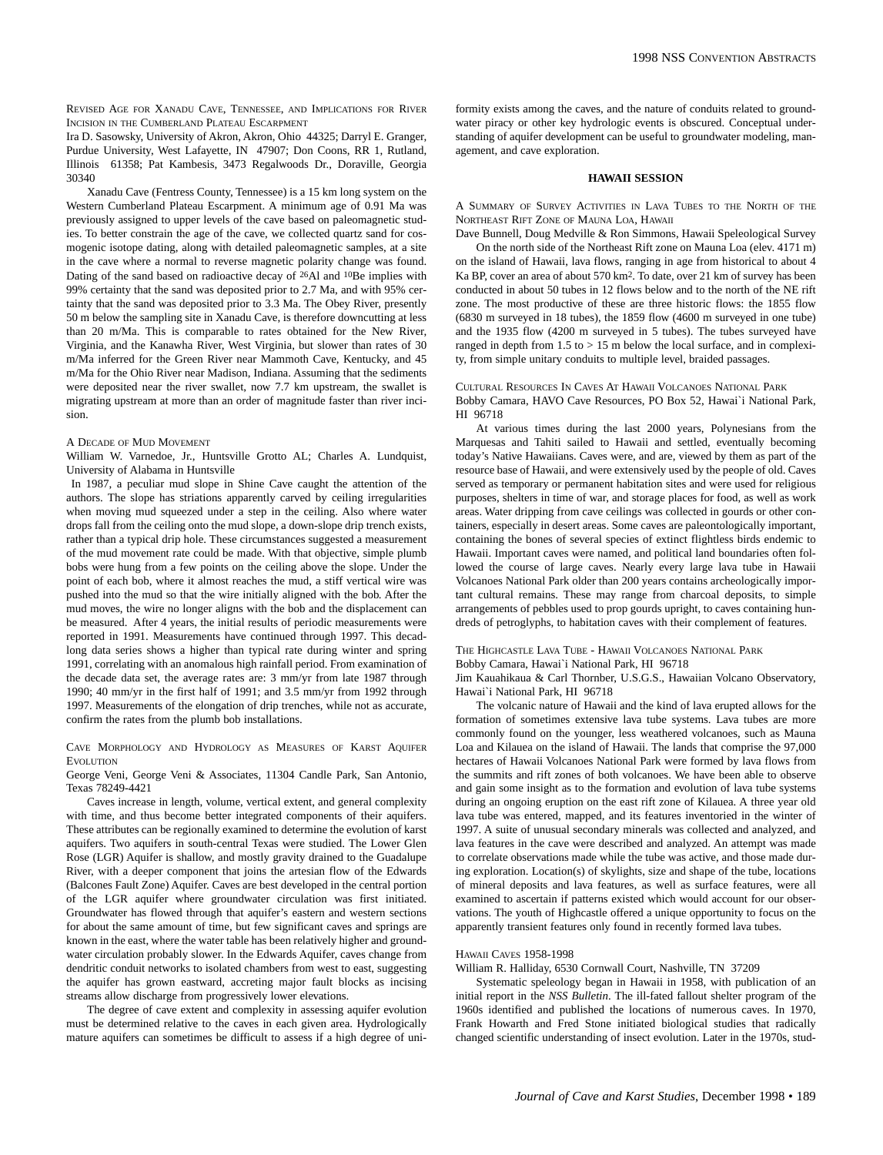REVISED AGE FOR XANADU CAVE, TENNESSEE, AND IMPLICATIONS FOR RIVER INCISION IN THE CUMBERLAND PLATEAU ESCARPMENT

Ira D. Sasowsky, University of Akron, Akron, Ohio 44325; Darryl E. Granger, Purdue University, West Lafayette, IN 47907; Don Coons, RR 1, Rutland, Illinois 61358; Pat Kambesis, 3473 Regalwoods Dr., Doraville, Georgia 30340

Xanadu Cave (Fentress County, Tennessee) is a 15 km long system on the Western Cumberland Plateau Escarpment. A minimum age of 0.91 Ma was previously assigned to upper levels of the cave based on paleomagnetic studies. To better constrain the age of the cave, we collected quartz sand for cosmogenic isotope dating, along with detailed paleomagnetic samples, at a site in the cave where a normal to reverse magnetic polarity change was found. Dating of the sand based on radioactive decay of 26Al and 10Be implies with 99% certainty that the sand was deposited prior to 2.7 Ma, and with 95% certainty that the sand was deposited prior to 3.3 Ma. The Obey River, presently 50 m below the sampling site in Xanadu Cave, is therefore downcutting at less than 20 m/Ma. This is comparable to rates obtained for the New River, Virginia, and the Kanawha River, West Virginia, but slower than rates of 30 m/Ma inferred for the Green River near Mammoth Cave, Kentucky, and 45 m/Ma for the Ohio River near Madison, Indiana. Assuming that the sediments were deposited near the river swallet, now 7.7 km upstream, the swallet is migrating upstream at more than an order of magnitude faster than river incision.

# A DECADE OF MUD MOVEMENT

William W. Varnedoe, Jr., Huntsville Grotto AL; Charles A. Lundquist, University of Alabama in Huntsville

In 1987, a peculiar mud slope in Shine Cave caught the attention of the authors. The slope has striations apparently carved by ceiling irregularities when moving mud squeezed under a step in the ceiling. Also where water drops fall from the ceiling onto the mud slope, a down-slope drip trench exists, rather than a typical drip hole. These circumstances suggested a measurement of the mud movement rate could be made. With that objective, simple plumb bobs were hung from a few points on the ceiling above the slope. Under the point of each bob, where it almost reaches the mud, a stiff vertical wire was pushed into the mud so that the wire initially aligned with the bob. After the mud moves, the wire no longer aligns with the bob and the displacement can be measured. After 4 years, the initial results of periodic measurements were reported in 1991. Measurements have continued through 1997. This decadlong data series shows a higher than typical rate during winter and spring 1991, correlating with an anomalous high rainfall period. From examination of the decade data set, the average rates are: 3 mm/yr from late 1987 through 1990; 40 mm/yr in the first half of 1991; and 3.5 mm/yr from 1992 through 1997. Measurements of the elongation of drip trenches, while not as accurate, confirm the rates from the plumb bob installations.

CAVE MORPHOLOGY AND HYDROLOGY AS MEASURES OF KARST AQUIFER **EVOLUTION** 

George Veni, George Veni & Associates, 11304 Candle Park, San Antonio, Texas 78249-4421

Caves increase in length, volume, vertical extent, and general complexity with time, and thus become better integrated components of their aquifers. These attributes can be regionally examined to determine the evolution of karst aquifers. Two aquifers in south-central Texas were studied. The Lower Glen Rose (LGR) Aquifer is shallow, and mostly gravity drained to the Guadalupe River, with a deeper component that joins the artesian flow of the Edwards (Balcones Fault Zone) Aquifer. Caves are best developed in the central portion of the LGR aquifer where groundwater circulation was first initiated. Groundwater has flowed through that aquifer's eastern and western sections for about the same amount of time, but few significant caves and springs are known in the east, where the water table has been relatively higher and groundwater circulation probably slower. In the Edwards Aquifer, caves change from dendritic conduit networks to isolated chambers from west to east, suggesting the aquifer has grown eastward, accreting major fault blocks as incising streams allow discharge from progressively lower elevations.

The degree of cave extent and complexity in assessing aquifer evolution must be determined relative to the caves in each given area. Hydrologically mature aquifers can sometimes be difficult to assess if a high degree of uniformity exists among the caves, and the nature of conduits related to groundwater piracy or other key hydrologic events is obscured. Conceptual understanding of aquifer development can be useful to groundwater modeling, management, and cave exploration.

# **HAWAII SESSION**

A SUMMARY OF SURVEY ACTIVITIES IN LAVA TUBES TO THE NORTH OF THE NORTHEAST RIFT ZONE OF MAUNA LOA, HAWAII

Dave Bunnell, Doug Medville & Ron Simmons, Hawaii Speleological Survey On the north side of the Northeast Rift zone on Mauna Loa (elev. 4171 m) on the island of Hawaii, lava flows, ranging in age from historical to about 4 Ka BP, cover an area of about 570 km2. To date, over 21 km of survey has been conducted in about 50 tubes in 12 flows below and to the north of the NE rift zone. The most productive of these are three historic flows: the 1855 flow (6830 m surveyed in 18 tubes), the 1859 flow (4600 m surveyed in one tube) and the 1935 flow (4200 m surveyed in 5 tubes). The tubes surveyed have ranged in depth from  $1.5$  to  $> 15$  m below the local surface, and in complexity, from simple unitary conduits to multiple level, braided passages.

CULTURAL RESOURCES IN CAVES AT HAWAII VOLCANOES NATIONAL PARK Bobby Camara, HAVO Cave Resources, PO Box 52, Hawai`i National Park, HI 96718

At various times during the last 2000 years, Polynesians from the Marquesas and Tahiti sailed to Hawaii and settled, eventually becoming today's Native Hawaiians. Caves were, and are, viewed by them as part of the resource base of Hawaii, and were extensively used by the people of old. Caves served as temporary or permanent habitation sites and were used for religious purposes, shelters in time of war, and storage places for food, as well as work areas. Water dripping from cave ceilings was collected in gourds or other containers, especially in desert areas. Some caves are paleontologically important, containing the bones of several species of extinct flightless birds endemic to Hawaii. Important caves were named, and political land boundaries often followed the course of large caves. Nearly every large lava tube in Hawaii Volcanoes National Park older than 200 years contains archeologically important cultural remains. These may range from charcoal deposits, to simple arrangements of pebbles used to prop gourds upright, to caves containing hundreds of petroglyphs, to habitation caves with their complement of features.

#### THE HIGHCASTLE LAVA TUBE - HAWAII VOLCANOES NATIONAL PARK Bobby Camara, Hawai`i National Park, HI 96718

Jim Kauahikaua & Carl Thornber, U.S.G.S., Hawaiian Volcano Observatory, Hawai`i National Park, HI 96718

The volcanic nature of Hawaii and the kind of lava erupted allows for the formation of sometimes extensive lava tube systems. Lava tubes are more commonly found on the younger, less weathered volcanoes, such as Mauna Loa and Kilauea on the island of Hawaii. The lands that comprise the 97,000 hectares of Hawaii Volcanoes National Park were formed by lava flows from the summits and rift zones of both volcanoes. We have been able to observe and gain some insight as to the formation and evolution of lava tube systems during an ongoing eruption on the east rift zone of Kilauea. A three year old lava tube was entered, mapped, and its features inventoried in the winter of 1997. A suite of unusual secondary minerals was collected and analyzed, and lava features in the cave were described and analyzed. An attempt was made to correlate observations made while the tube was active, and those made during exploration. Location(s) of skylights, size and shape of the tube, locations of mineral deposits and lava features, as well as surface features, were all examined to ascertain if patterns existed which would account for our observations. The youth of Highcastle offered a unique opportunity to focus on the apparently transient features only found in recently formed lava tubes.

#### HAWAII CAVES 1958-1998

William R. Halliday, 6530 Cornwall Court, Nashville, TN 37209

Systematic speleology began in Hawaii in 1958, with publication of an initial report in the *NSS Bulletin*. The ill-fated fallout shelter program of the 1960s identified and published the locations of numerous caves. In 1970, Frank Howarth and Fred Stone initiated biological studies that radically changed scientific understanding of insect evolution. Later in the 1970s, stud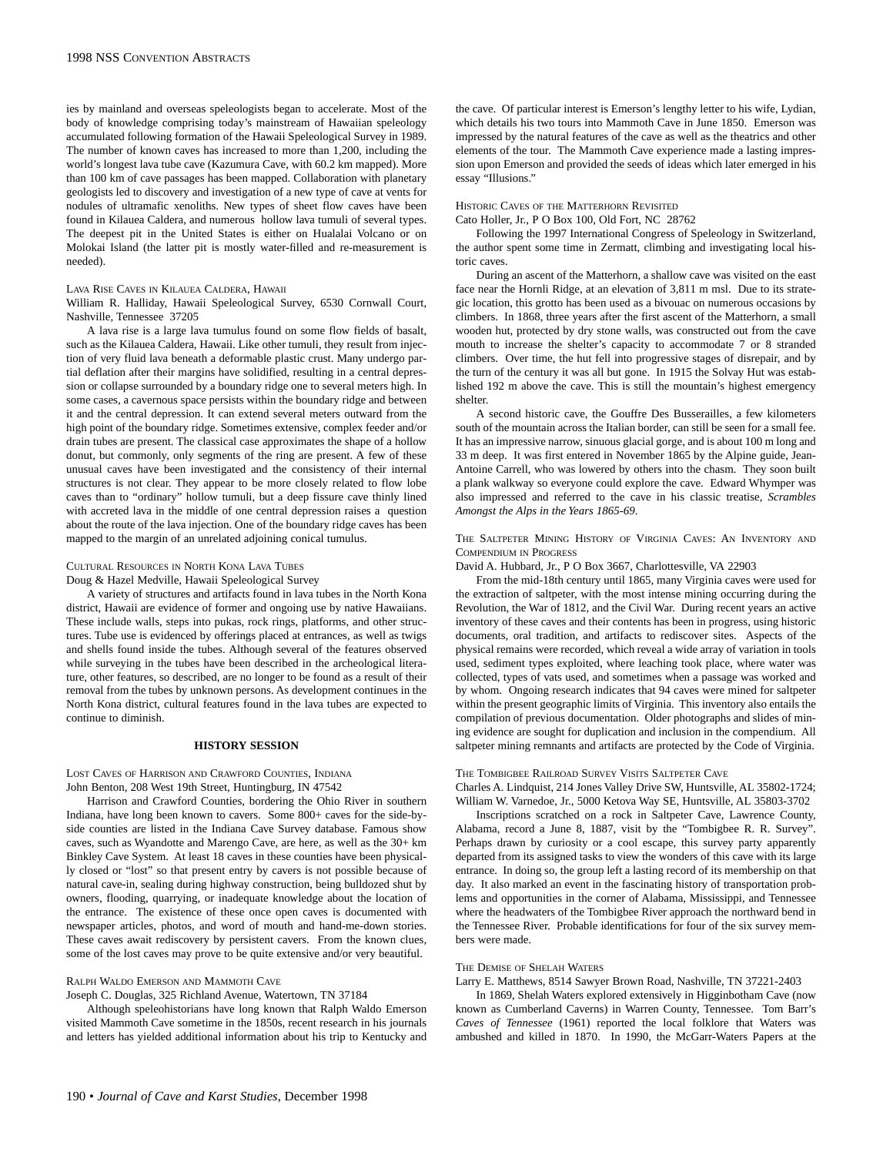ies by mainland and overseas speleologists began to accelerate. Most of the body of knowledge comprising today's mainstream of Hawaiian speleology accumulated following formation of the Hawaii Speleological Survey in 1989. The number of known caves has increased to more than 1,200, including the world's longest lava tube cave (Kazumura Cave, with 60.2 km mapped). More than 100 km of cave passages has been mapped. Collaboration with planetary geologists led to discovery and investigation of a new type of cave at vents for nodules of ultramafic xenoliths. New types of sheet flow caves have been found in Kilauea Caldera, and numerous hollow lava tumuli of several types. The deepest pit in the United States is either on Hualalai Volcano or on Molokai Island (the latter pit is mostly water-filled and re-measurement is needed).

#### LAVA RISE CAVES IN KILAUEA CALDERA, HAWAII

William R. Halliday, Hawaii Speleological Survey, 6530 Cornwall Court, Nashville, Tennessee 37205

A lava rise is a large lava tumulus found on some flow fields of basalt, such as the Kilauea Caldera, Hawaii. Like other tumuli, they result from injection of very fluid lava beneath a deformable plastic crust. Many undergo partial deflation after their margins have solidified, resulting in a central depression or collapse surrounded by a boundary ridge one to several meters high. In some cases, a cavernous space persists within the boundary ridge and between it and the central depression. It can extend several meters outward from the high point of the boundary ridge. Sometimes extensive, complex feeder and/or drain tubes are present. The classical case approximates the shape of a hollow donut, but commonly, only segments of the ring are present. A few of these unusual caves have been investigated and the consistency of their internal structures is not clear. They appear to be more closely related to flow lobe caves than to "ordinary" hollow tumuli, but a deep fissure cave thinly lined with accreted lava in the middle of one central depression raises a question about the route of the lava injection. One of the boundary ridge caves has been mapped to the margin of an unrelated adjoining conical tumulus.

## CULTURAL RESOURCES IN NORTH KONA LAVA TUBES

#### Doug & Hazel Medville, Hawaii Speleological Survey

A variety of structures and artifacts found in lava tubes in the North Kona district, Hawaii are evidence of former and ongoing use by native Hawaiians. These include walls, steps into pukas, rock rings, platforms, and other structures. Tube use is evidenced by offerings placed at entrances, as well as twigs and shells found inside the tubes. Although several of the features observed while surveying in the tubes have been described in the archeological literature, other features, so described, are no longer to be found as a result of their removal from the tubes by unknown persons. As development continues in the North Kona district, cultural features found in the lava tubes are expected to continue to diminish.

#### **HISTORY SESSION**

LOST CAVES OF HARRISON AND CRAWFORD COUNTIES, INDIANA John Benton, 208 West 19th Street, Huntingburg, IN 47542

Harrison and Crawford Counties, bordering the Ohio River in southern Indiana, have long been known to cavers. Some 800+ caves for the side-byside counties are listed in the Indiana Cave Survey database. Famous show caves, such as Wyandotte and Marengo Cave, are here, as well as the 30+ km Binkley Cave System. At least 18 caves in these counties have been physically closed or "lost" so that present entry by cavers is not possible because of natural cave-in, sealing during highway construction, being bulldozed shut by owners, flooding, quarrying, or inadequate knowledge about the location of the entrance. The existence of these once open caves is documented with newspaper articles, photos, and word of mouth and hand-me-down stories. These caves await rediscovery by persistent cavers. From the known clues, some of the lost caves may prove to be quite extensive and/or very beautiful.

#### RALPH WALDO EMERSON AND MAMMOTH CAVE

Joseph C. Douglas, 325 Richland Avenue, Watertown, TN 37184

Although speleohistorians have long known that Ralph Waldo Emerson visited Mammoth Cave sometime in the 1850s, recent research in his journals and letters has yielded additional information about his trip to Kentucky and the cave. Of particular interest is Emerson's lengthy letter to his wife, Lydian, which details his two tours into Mammoth Cave in June 1850. Emerson was impressed by the natural features of the cave as well as the theatrics and other elements of the tour. The Mammoth Cave experience made a lasting impression upon Emerson and provided the seeds of ideas which later emerged in his essay "Illusions."

#### HISTORIC CAVES OF THE MATTERHORN REVISITED

Cato Holler, Jr., P O Box 100, Old Fort, NC 28762

Following the 1997 International Congress of Speleology in Switzerland, the author spent some time in Zermatt, climbing and investigating local historic caves.

During an ascent of the Matterhorn, a shallow cave was visited on the east face near the Hornli Ridge, at an elevation of 3,811 m msl. Due to its strategic location, this grotto has been used as a bivouac on numerous occasions by climbers. In 1868, three years after the first ascent of the Matterhorn, a small wooden hut, protected by dry stone walls, was constructed out from the cave mouth to increase the shelter's capacity to accommodate 7 or 8 stranded climbers. Over time, the hut fell into progressive stages of disrepair, and by the turn of the century it was all but gone. In 1915 the Solvay Hut was established 192 m above the cave. This is still the mountain's highest emergency shelter.

A second historic cave, the Gouffre Des Busserailles, a few kilometers south of the mountain across the Italian border, can still be seen for a small fee. It has an impressive narrow, sinuous glacial gorge, and is about 100 m long and 33 m deep. It was first entered in November 1865 by the Alpine guide, Jean-Antoine Carrell, who was lowered by others into the chasm. They soon built a plank walkway so everyone could explore the cave. Edward Whymper was also impressed and referred to the cave in his classic treatise, *Scrambles Amongst the Alps in the Years 1865-69*.

THE SALTPETER MINING HISTORY OF VIRGINIA CAVES: AN INVENTORY AND COMPENDIUM IN PROGRESS

David A. Hubbard, Jr., P O Box 3667, Charlottesville, VA 22903

From the mid-18th century until 1865, many Virginia caves were used for the extraction of saltpeter, with the most intense mining occurring during the Revolution, the War of 1812, and the Civil War. During recent years an active inventory of these caves and their contents has been in progress, using historic documents, oral tradition, and artifacts to rediscover sites. Aspects of the physical remains were recorded, which reveal a wide array of variation in tools used, sediment types exploited, where leaching took place, where water was collected, types of vats used, and sometimes when a passage was worked and by whom. Ongoing research indicates that 94 caves were mined for saltpeter within the present geographic limits of Virginia. This inventory also entails the compilation of previous documentation. Older photographs and slides of mining evidence are sought for duplication and inclusion in the compendium. All saltpeter mining remnants and artifacts are protected by the Code of Virginia.

## THE TOMBIGBEE RAILROAD SURVEY VISITS SALTPETER CAVE

Charles A. Lindquist, 214 Jones Valley Drive SW, Huntsville, AL 35802-1724; William W. Varnedoe, Jr., 5000 Ketova Way SE, Huntsville, AL 35803-3702

Inscriptions scratched on a rock in Saltpeter Cave, Lawrence County, Alabama, record a June 8, 1887, visit by the "Tombigbee R. R. Survey". Perhaps drawn by curiosity or a cool escape, this survey party apparently departed from its assigned tasks to view the wonders of this cave with its large entrance. In doing so, the group left a lasting record of its membership on that day. It also marked an event in the fascinating history of transportation problems and opportunities in the corner of Alabama, Mississippi, and Tennessee where the headwaters of the Tombigbee River approach the northward bend in the Tennessee River. Probable identifications for four of the six survey members were made.

## THE DEMISE OF SHELAH WATERS

Larry E. Matthews, 8514 Sawyer Brown Road, Nashville, TN 37221-2403

In 1869, Shelah Waters explored extensively in Higginbotham Cave (now known as Cumberland Caverns) in Warren County, Tennessee. Tom Barr's *Caves of Tennessee* (1961) reported the local folklore that Waters was ambushed and killed in 1870. In 1990, the McGarr-Waters Papers at the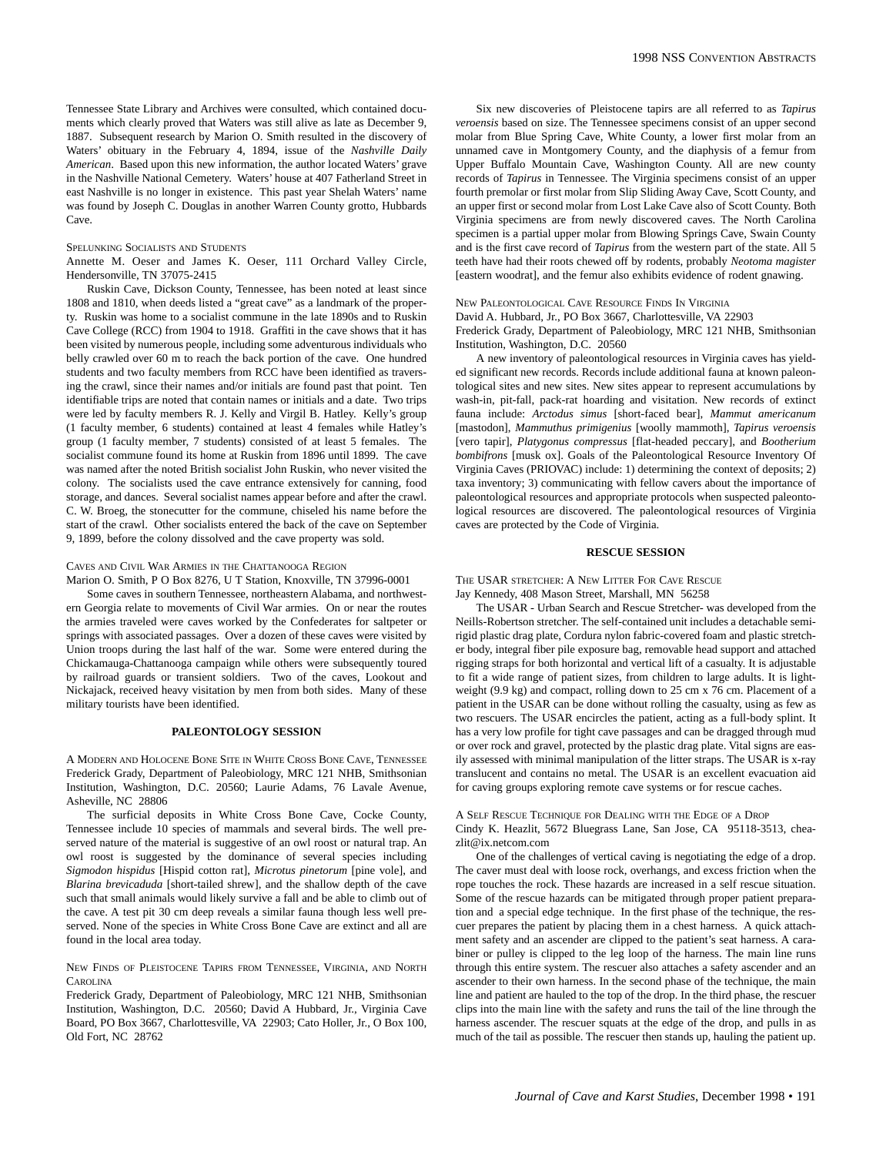Tennessee State Library and Archives were consulted, which contained documents which clearly proved that Waters was still alive as late as December 9, 1887. Subsequent research by Marion O. Smith resulted in the discovery of Waters' obituary in the February 4, 1894, issue of the *Nashville Daily American*. Based upon this new information, the author located Waters' grave in the Nashville National Cemetery. Waters' house at 407 Fatherland Street in east Nashville is no longer in existence. This past year Shelah Waters' name was found by Joseph C. Douglas in another Warren County grotto, Hubbards Cave.

#### SPELUNKING SOCIALISTS AND STUDENTS

Annette M. Oeser and James K. Oeser, 111 Orchard Valley Circle, Hendersonville, TN 37075-2415

Ruskin Cave, Dickson County, Tennessee, has been noted at least since 1808 and 1810, when deeds listed a "great cave" as a landmark of the property. Ruskin was home to a socialist commune in the late 1890s and to Ruskin Cave College (RCC) from 1904 to 1918. Graffiti in the cave shows that it has been visited by numerous people, including some adventurous individuals who belly crawled over 60 m to reach the back portion of the cave. One hundred students and two faculty members from RCC have been identified as traversing the crawl, since their names and/or initials are found past that point. Ten identifiable trips are noted that contain names or initials and a date. Two trips were led by faculty members R. J. Kelly and Virgil B. Hatley. Kelly's group (1 faculty member, 6 students) contained at least 4 females while Hatley's group (1 faculty member, 7 students) consisted of at least 5 females. The socialist commune found its home at Ruskin from 1896 until 1899. The cave was named after the noted British socialist John Ruskin, who never visited the colony. The socialists used the cave entrance extensively for canning, food storage, and dances. Several socialist names appear before and after the crawl. C. W. Broeg, the stonecutter for the commune, chiseled his name before the start of the crawl. Other socialists entered the back of the cave on September 9, 1899, before the colony dissolved and the cave property was sold.

#### CAVES AND CIVIL WAR ARMIES IN THE CHATTANOOGA REGION

Marion O. Smith, P O Box 8276, U T Station, Knoxville, TN 37996-0001

Some caves in southern Tennessee, northeastern Alabama, and northwestern Georgia relate to movements of Civil War armies. On or near the routes the armies traveled were caves worked by the Confederates for saltpeter or springs with associated passages. Over a dozen of these caves were visited by Union troops during the last half of the war. Some were entered during the Chickamauga-Chattanooga campaign while others were subsequently toured by railroad guards or transient soldiers. Two of the caves, Lookout and Nickajack, received heavy visitation by men from both sides. Many of these military tourists have been identified.

## **PALEONTOLOGY SESSION**

A MODERN AND HOLOCENE BONE SITE IN WHITE CROSS BONE CAVE, TENNESSEE Frederick Grady, Department of Paleobiology, MRC 121 NHB, Smithsonian Institution, Washington, D.C. 20560; Laurie Adams, 76 Lavale Avenue, Asheville, NC 28806

The surficial deposits in White Cross Bone Cave, Cocke County, Tennessee include 10 species of mammals and several birds. The well preserved nature of the material is suggestive of an owl roost or natural trap. An owl roost is suggested by the dominance of several species including *Sigmodon hispidus* [Hispid cotton rat], *Microtus pinetorum* [pine vole], and *Blarina brevicaduda* [short-tailed shrew], and the shallow depth of the cave such that small animals would likely survive a fall and be able to climb out of the cave. A test pit 30 cm deep reveals a similar fauna though less well preserved. None of the species in White Cross Bone Cave are extinct and all are found in the local area today.

NEW FINDS OF PLEISTOCENE TAPIRS FROM TENNESSEE, VIRGINIA, AND NORTH **CAROLINA** 

Frederick Grady, Department of Paleobiology, MRC 121 NHB, Smithsonian Institution, Washington, D.C. 20560; David A Hubbard, Jr., Virginia Cave Board, PO Box 3667, Charlottesville, VA 22903; Cato Holler, Jr., O Box 100, Old Fort, NC 28762

Six new discoveries of Pleistocene tapirs are all referred to as *Tapirus veroensis* based on size. The Tennessee specimens consist of an upper second molar from Blue Spring Cave, White County, a lower first molar from an unnamed cave in Montgomery County, and the diaphysis of a femur from Upper Buffalo Mountain Cave, Washington County. All are new county records of *Tapirus* in Tennessee. The Virginia specimens consist of an upper fourth premolar or first molar from Slip Sliding Away Cave, Scott County, and an upper first or second molar from Lost Lake Cave also of Scott County. Both Virginia specimens are from newly discovered caves. The North Carolina specimen is a partial upper molar from Blowing Springs Cave, Swain County and is the first cave record of *Tapirus* from the western part of the state. All 5 teeth have had their roots chewed off by rodents, probably *Neotoma magister* [eastern woodrat], and the femur also exhibits evidence of rodent gnawing.

NEW PALEONTOLOGICAL CAVE RESOURCE FINDS IN VIRGINIA David A. Hubbard, Jr., PO Box 3667, Charlottesville, VA 22903 Frederick Grady, Department of Paleobiology, MRC 121 NHB, Smithsonian Institution, Washington, D.C. 20560

A new inventory of paleontological resources in Virginia caves has yielded significant new records. Records include additional fauna at known paleontological sites and new sites. New sites appear to represent accumulations by wash-in, pit-fall, pack-rat hoarding and visitation. New records of extinct fauna include: *Arctodus simus* [short-faced bear], *Mammut americanum* [mastodon], *Mammuthus primigenius* [woolly mammoth], *Tapirus veroensis* [vero tapir], *Platygonus compressus* [flat-headed peccary], and *Bootherium bombifrons* [musk ox]. Goals of the Paleontological Resource Inventory Of Virginia Caves (PRIOVAC) include: 1) determining the context of deposits; 2) taxa inventory; 3) communicating with fellow cavers about the importance of paleontological resources and appropriate protocols when suspected paleontological resources are discovered. The paleontological resources of Virginia caves are protected by the Code of Virginia.

# **RESCUE SESSION**

THE USAR STRETCHER: A NEW LITTER FOR CAVE RESCUE Jay Kennedy, 408 Mason Street, Marshall, MN 56258

The USAR - Urban Search and Rescue Stretcher- was developed from the Neills-Robertson stretcher. The self-contained unit includes a detachable semirigid plastic drag plate, Cordura nylon fabric-covered foam and plastic stretcher body, integral fiber pile exposure bag, removable head support and attached rigging straps for both horizontal and vertical lift of a casualty. It is adjustable to fit a wide range of patient sizes, from children to large adults. It is lightweight (9.9 kg) and compact, rolling down to 25 cm x 76 cm. Placement of a patient in the USAR can be done without rolling the casualty, using as few as two rescuers. The USAR encircles the patient, acting as a full-body splint. It has a very low profile for tight cave passages and can be dragged through mud or over rock and gravel, protected by the plastic drag plate. Vital signs are easily assessed with minimal manipulation of the litter straps. The USAR is x-ray translucent and contains no metal. The USAR is an excellent evacuation aid for caving groups exploring remote cave systems or for rescue caches.

A SELF RESCUE TECHNIQUE FOR DEALING WITH THE EDGE OF A DROP Cindy K. Heazlit, 5672 Bluegrass Lane, San Jose, CA 95118-3513, cheazlit@ix.netcom.com

One of the challenges of vertical caving is negotiating the edge of a drop. The caver must deal with loose rock, overhangs, and excess friction when the rope touches the rock. These hazards are increased in a self rescue situation. Some of the rescue hazards can be mitigated through proper patient preparation and a special edge technique. In the first phase of the technique, the rescuer prepares the patient by placing them in a chest harness. A quick attachment safety and an ascender are clipped to the patient's seat harness. A carabiner or pulley is clipped to the leg loop of the harness. The main line runs through this entire system. The rescuer also attaches a safety ascender and an ascender to their own harness. In the second phase of the technique, the main line and patient are hauled to the top of the drop. In the third phase, the rescuer clips into the main line with the safety and runs the tail of the line through the harness ascender. The rescuer squats at the edge of the drop, and pulls in as much of the tail as possible. The rescuer then stands up, hauling the patient up.